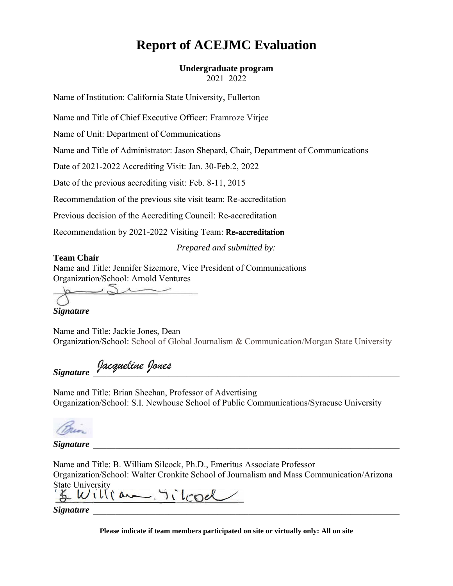# **Report of ACEJMC Evaluation**

# **Undergraduate program**

2021–2022

Name of Institution: California State University, Fullerton

Name and Title of Chief Executive Officer: Framroze Virjee

Name of Unit: Department of Communications

Name and Title of Administrator: Jason Shepard, Chair, Department of Communications

Date of 2021-2022 Accrediting Visit: Jan. 30-Feb.2, 2022

Date of the previous accrediting visit: Feb. 8-11, 2015

Recommendation of the previous site visit team: Re-accreditation

Previous decision of the Accrediting Council: Re-accreditation

Recommendation by 2021-2022 Visiting Team: Re-accreditation

*Prepared and submitted by:*

#### **Team Chair**

Name and Title: Jennifer Sizemore, Vice President of Communications Organization/School: Arnold Ventures

 $\overline{\phantom{a}}$ 

#### *Signature*

Name and Title: Jackie Jones, Dean Organization/School: School of Global Journalism & Communication/Morgan State University

Signature Jacqueline Jones

Name and Title: Brian Sheehan, Professor of Advertising Organization/School: S.I. Newhouse School of Public Communications/Syracuse University



*Signature* 

Name and Title: B. William Silcock, Ph.D., Emeritus Associate Professor Organization/School: Walter Cronkite School of Journalism and Mass Communication/Arizona State University<br>& William, Tilcod

*Signature* 

**Please indicate if team members participated on site or virtually only: All on site**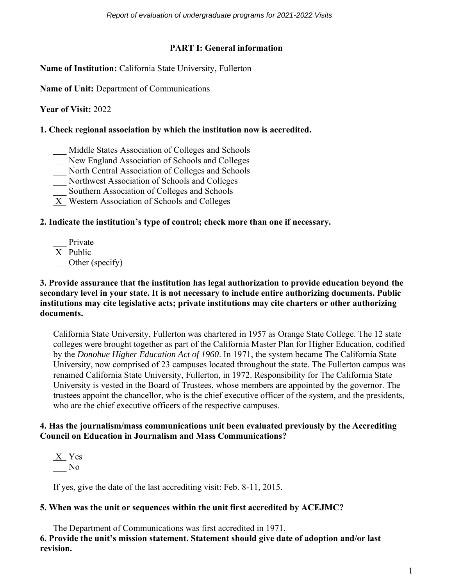# **PART I: General information**

**Name of Institution:** California State University, Fullerton

**Name of Unit:** Department of Communications

**Year of Visit:** 2022

#### **1. Check regional association by which the institution now is accredited.**

- \_\_\_ Middle States Association of Colleges and Schools
- New England Association of Schools and Colleges
- \_\_\_ North Central Association of Colleges and Schools
- \_\_\_ Northwest Association of Schools and Colleges
- Southern Association of Colleges and Schools
- X Western Association of Schools and Colleges

# **2. Indicate the institution's type of control; check more than one if necessary.**

\_\_\_ Private X Public Other (specify)

#### **3. Provide assurance that the institution has legal authorization to provide education beyond the secondary level in your state. It is not necessary to include entire authorizing documents. Public institutions may cite legislative acts; private institutions may cite charters or other authorizing documents.**

California State University, Fullerton was chartered in 1957 as Orange State College. The 12 state colleges were brought together as part of the California Master Plan for Higher Education, codified by the *Donohue Higher Education Act of 1960*. In 1971, the system became The California State University, now comprised of 23 campuses located throughout the state. The Fullerton campus was renamed California State University, Fullerton, in 1972. Responsibility for The California State University is vested in the Board of Trustees, whose members are appointed by the governor. The trustees appoint the chancellor, who is the chief executive officer of the system, and the presidents, who are the chief executive officers of the respective campuses.

#### **4. Has the journalism/mass communications unit been evaluated previously by the Accrediting Council on Education in Journalism and Mass Communications?**

X Yes  $\overline{\phantom{0}}$  No

If yes, give the date of the last accrediting visit: Feb. 8-11, 2015.

# **5. When was the unit or sequences within the unit first accredited by ACEJMC?**

The Department of Communications was first accredited in 1971. **6. Provide the unit's mission statement. Statement should give date of adoption and/or last revision.**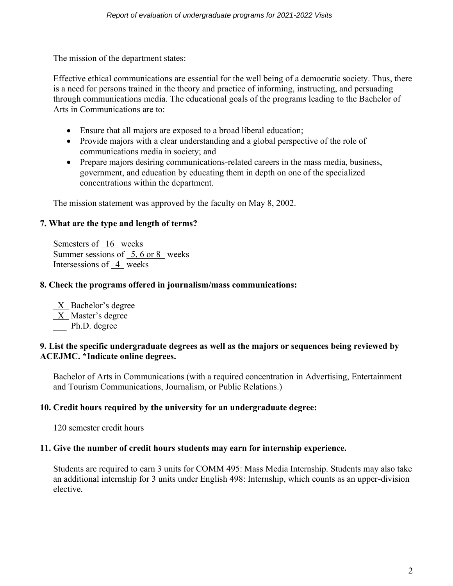The mission of the department states:

Effective ethical communications are essential for the well being of a democratic society. Thus, there is a need for persons trained in the theory and practice of informing, instructing, and persuading through communications media. The educational goals of the programs leading to the Bachelor of Arts in Communications are to:

- Ensure that all majors are exposed to a broad liberal education;
- Provide majors with a clear understanding and a global perspective of the role of communications media in society; and
- Prepare majors desiring communications-related careers in the mass media, business, government, and education by educating them in depth on one of the specialized concentrations within the department.

The mission statement was approved by the faculty on May 8, 2002.

# **7. What are the type and length of terms?**

Semesters of 16 weeks Summer sessions of 5, 6 or 8 weeks Intersessions of 4 weeks

#### **8. Check the programs offered in journalism/mass communications:**

 X Bachelor's degree X Master's degree Ph.D. degree

#### **9. List the specific undergraduate degrees as well as the majors or sequences being reviewed by ACEJMC. \*Indicate online degrees.**

Bachelor of Arts in Communications (with a required concentration in Advertising, Entertainment and Tourism Communications, Journalism, or Public Relations.)

#### **10. Credit hours required by the university for an undergraduate degree:**

120 semester credit hours

#### **11. Give the number of credit hours students may earn for internship experience.**

Students are required to earn 3 units for COMM 495: Mass Media Internship. Students may also take an additional internship for 3 units under English 498: Internship, which counts as an upper-division elective.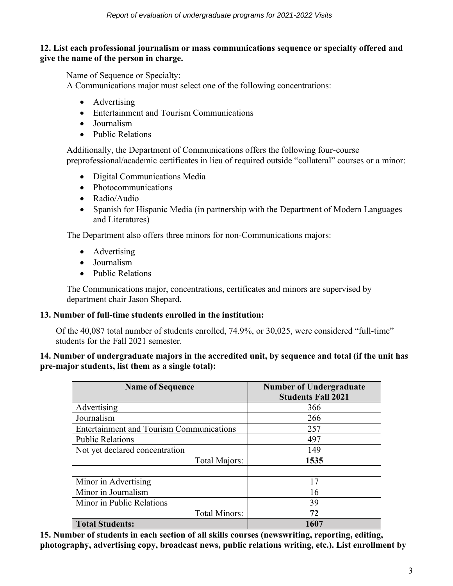#### **12. List each professional journalism or mass communications sequence or specialty offered and give the name of the person in charge.**

Name of Sequence or Specialty:

A Communications major must select one of the following concentrations:

- Advertising
- Entertainment and Tourism Communications
- Journalism
- Public Relations

Additionally, the Department of Communications offers the following four-course preprofessional/academic certificates in lieu of required outside "collateral" courses or a minor:

- Digital Communications Media
- Photocommunications
- Radio/Audio
- Spanish for Hispanic Media (in partnership with the Department of Modern Languages and Literatures)

The Department also offers three minors for non-Communications majors:

- Advertising
- Journalism
- Public Relations

The Communications major, concentrations, certificates and minors are supervised by department chair Jason Shepard.

#### **13. Number of full-time students enrolled in the institution:**

Of the 40,087 total number of students enrolled, 74.9%, or 30,025, were considered "full-time" students for the Fall 2021 semester.

#### **14. Number of undergraduate majors in the accredited unit, by sequence and total (if the unit has pre-major students, list them as a single total):**

| <b>Name of Sequence</b>                         | <b>Number of Undergraduate</b><br><b>Students Fall 2021</b> |
|-------------------------------------------------|-------------------------------------------------------------|
| Advertising                                     | 366                                                         |
| Journalism                                      | 266                                                         |
| <b>Entertainment and Tourism Communications</b> | 257                                                         |
| <b>Public Relations</b>                         | 497                                                         |
| Not yet declared concentration                  | 149                                                         |
| Total Majors:                                   | 1535                                                        |
|                                                 |                                                             |
| Minor in Advertising                            | 17                                                          |
| Minor in Journalism                             | 16                                                          |
| Minor in Public Relations                       | 39                                                          |
| Total Minors:                                   | 72                                                          |
| <b>Total Students:</b>                          | 1607                                                        |

**15. Number of students in each section of all skills courses (newswriting, reporting, editing, photography, advertising copy, broadcast news, public relations writing, etc.). List enrollment by**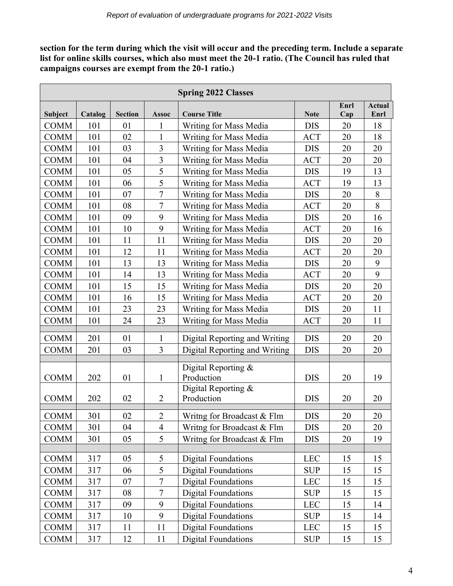**section for the term during which the visit will occur and the preceding term. Include a separate list for online skills courses, which also must meet the 20-1 ratio. (The Council has ruled that campaigns courses are exempt from the 20-1 ratio.)**

|             | <b>Spring 2022 Classes</b> |                |                |                                   |             |             |                       |  |  |
|-------------|----------------------------|----------------|----------------|-----------------------------------|-------------|-------------|-----------------------|--|--|
| Subject     | Catalog                    | <b>Section</b> | <b>Assoc</b>   | <b>Course Title</b>               | <b>Note</b> | Enrl<br>Cap | <b>Actual</b><br>Enrl |  |  |
| <b>COMM</b> | 101                        | 01             | 1              | Writing for Mass Media            | <b>DIS</b>  | 20          | 18                    |  |  |
| <b>COMM</b> | 101                        | 02             | 1              | Writing for Mass Media            | <b>ACT</b>  | 20          | 18                    |  |  |
| <b>COMM</b> | 101                        | 03             | 3              | Writing for Mass Media            | <b>DIS</b>  | 20          | 20                    |  |  |
| <b>COMM</b> | 101                        | 04             | 3              | Writing for Mass Media            | <b>ACT</b>  | 20          | 20                    |  |  |
| <b>COMM</b> | 101                        | 05             | 5              | Writing for Mass Media            | <b>DIS</b>  | 19          | 13                    |  |  |
| <b>COMM</b> | 101                        | 06             | 5              | Writing for Mass Media            | <b>ACT</b>  | 19          | 13                    |  |  |
| <b>COMM</b> | 101                        | 07             | $\overline{7}$ | Writing for Mass Media            | <b>DIS</b>  | 20          | 8                     |  |  |
| <b>COMM</b> | 101                        | 08             | $\overline{7}$ | Writing for Mass Media            | <b>ACT</b>  | 20          | 8                     |  |  |
| <b>COMM</b> | 101                        | 09             | 9              | Writing for Mass Media            | <b>DIS</b>  | 20          | 16                    |  |  |
| <b>COMM</b> | 101                        | 10             | 9              | Writing for Mass Media            | <b>ACT</b>  | 20          | 16                    |  |  |
| <b>COMM</b> | 101                        | 11             | 11             | Writing for Mass Media            | <b>DIS</b>  | 20          | 20                    |  |  |
| <b>COMM</b> | 101                        | 12             | 11             | Writing for Mass Media            | <b>ACT</b>  | 20          | 20                    |  |  |
| <b>COMM</b> | 101                        | 13             | 13             | Writing for Mass Media            | <b>DIS</b>  | 20          | 9                     |  |  |
| <b>COMM</b> | 101                        | 14             | 13             | Writing for Mass Media            | ACT         | 20          | 9                     |  |  |
| <b>COMM</b> | 101                        | 15             | 15             | Writing for Mass Media            | <b>DIS</b>  | 20          | 20                    |  |  |
| <b>COMM</b> | 101                        | 16             | 15             | Writing for Mass Media            | <b>ACT</b>  | 20          | 20                    |  |  |
| <b>COMM</b> | 101                        | 23             | 23             | Writing for Mass Media            | <b>DIS</b>  | 20          | 11                    |  |  |
| <b>COMM</b> | 101                        | 24             | 23             | Writing for Mass Media            | <b>ACT</b>  | 20          | 11                    |  |  |
| <b>COMM</b> | 201                        | 01             | 1              | Digital Reporting and Writing     | <b>DIS</b>  | 20          | 20                    |  |  |
| <b>COMM</b> | 201                        | 03             | 3              | Digital Reporting and Writing     | <b>DIS</b>  | 20          | 20                    |  |  |
|             |                            |                |                |                                   |             |             |                       |  |  |
|             |                            |                |                | Digital Reporting &               |             |             |                       |  |  |
| <b>COMM</b> | 202                        | 01             | 1              | Production<br>Digital Reporting & | <b>DIS</b>  | 20          | 19                    |  |  |
| <b>COMM</b> | 202                        | 02             | $\overline{2}$ | Production                        | <b>DIS</b>  | 20          | 20                    |  |  |
|             |                            |                |                |                                   |             |             |                       |  |  |
| <b>COMM</b> | 301                        | 02             | $\overline{c}$ | Writng for Broadcast & Flm        | <b>DIS</b>  | 20          | <u>20</u>             |  |  |
| <b>COMM</b> | 301                        | 04             | 4              | Writng for Broadcast & Flm        | <b>DIS</b>  | 20          | 20                    |  |  |
| <b>COMM</b> | 301                        | 05             | 5              | Writng for Broadcast & Flm        | <b>DIS</b>  | 20          | 19                    |  |  |
| <b>COMM</b> | 317                        | 05             | 5              | <b>Digital Foundations</b>        | <b>LEC</b>  | 15          | 15                    |  |  |
| <b>COMM</b> | 317                        | 06             | 5              | <b>Digital Foundations</b>        | <b>SUP</b>  | 15          | 15                    |  |  |
| <b>COMM</b> | 317                        | 07             | $\overline{7}$ | <b>Digital Foundations</b>        | <b>LEC</b>  | 15          | 15                    |  |  |
| <b>COMM</b> | 317                        | 08             | 7              | <b>Digital Foundations</b>        | <b>SUP</b>  | 15          | 15                    |  |  |
| <b>COMM</b> | 317                        | 09             | 9              | <b>Digital Foundations</b>        | <b>LEC</b>  | 15          | 14                    |  |  |
| <b>COMM</b> | 317                        | 10             | 9              | <b>Digital Foundations</b>        | <b>SUP</b>  | 15          | 14                    |  |  |
| <b>COMM</b> | 317                        | 11             | 11             | <b>Digital Foundations</b>        | <b>LEC</b>  | 15          | 15                    |  |  |
| COMM        | 317                        | 12             | 11             | <b>Digital Foundations</b>        | <b>SUP</b>  | 15          | 15                    |  |  |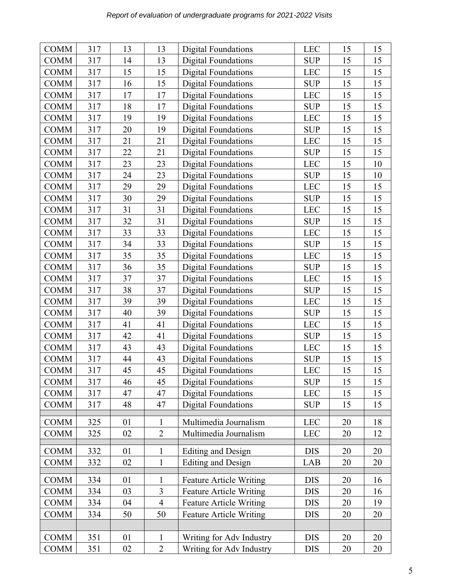| <b>COMM</b> | 317 | 13 | 13             | <b>Digital Foundations</b>     | <b>LEC</b> | 15 | 15 |
|-------------|-----|----|----------------|--------------------------------|------------|----|----|
| <b>COMM</b> | 317 | 14 | 13             | <b>Digital Foundations</b>     | <b>SUP</b> | 15 | 15 |
| <b>COMM</b> | 317 | 15 | 15             | <b>Digital Foundations</b>     | <b>LEC</b> | 15 | 15 |
| <b>COMM</b> | 317 | 16 | 15             | <b>Digital Foundations</b>     | <b>SUP</b> | 15 | 15 |
| <b>COMM</b> | 317 | 17 | 17             | <b>Digital Foundations</b>     | <b>LEC</b> | 15 | 15 |
| <b>COMM</b> | 317 | 18 | 17             | <b>Digital Foundations</b>     | <b>SUP</b> | 15 | 15 |
| <b>COMM</b> | 317 | 19 | 19             | <b>Digital Foundations</b>     | <b>LEC</b> | 15 | 15 |
| <b>COMM</b> | 317 | 20 | 19             | <b>Digital Foundations</b>     | <b>SUP</b> | 15 | 15 |
| <b>COMM</b> | 317 | 21 | 21             | <b>Digital Foundations</b>     | <b>LEC</b> | 15 | 15 |
| <b>COMM</b> | 317 | 22 | 21             | <b>Digital Foundations</b>     | <b>SUP</b> | 15 | 15 |
| <b>COMM</b> | 317 | 23 | 23             | <b>Digital Foundations</b>     | <b>LEC</b> | 15 | 10 |
| <b>COMM</b> | 317 | 24 | 23             | <b>Digital Foundations</b>     | <b>SUP</b> | 15 | 10 |
| <b>COMM</b> | 317 | 29 | 29             | <b>Digital Foundations</b>     | <b>LEC</b> | 15 | 15 |
| <b>COMM</b> | 317 | 30 | 29             | <b>Digital Foundations</b>     | <b>SUP</b> | 15 | 15 |
| <b>COMM</b> | 317 | 31 | 31             | <b>Digital Foundations</b>     | <b>LEC</b> | 15 | 15 |
| <b>COMM</b> | 317 | 32 | 31             | <b>Digital Foundations</b>     | <b>SUP</b> | 15 | 15 |
| <b>COMM</b> | 317 | 33 | 33             | <b>Digital Foundations</b>     | <b>LEC</b> | 15 | 15 |
| <b>COMM</b> | 317 | 34 | 33             | <b>Digital Foundations</b>     | <b>SUP</b> | 15 | 15 |
| <b>COMM</b> | 317 | 35 | 35             | <b>Digital Foundations</b>     | <b>LEC</b> | 15 | 15 |
| <b>COMM</b> | 317 | 36 | 35             | <b>Digital Foundations</b>     | <b>SUP</b> | 15 | 15 |
| <b>COMM</b> | 317 | 37 | 37             | <b>Digital Foundations</b>     | <b>LEC</b> | 15 | 15 |
| <b>COMM</b> | 317 | 38 | 37             | <b>Digital Foundations</b>     | <b>SUP</b> | 15 | 15 |
| <b>COMM</b> | 317 | 39 | 39             | <b>Digital Foundations</b>     | <b>LEC</b> | 15 | 15 |
| <b>COMM</b> | 317 | 40 | 39             | <b>Digital Foundations</b>     | <b>SUP</b> | 15 | 15 |
| <b>COMM</b> | 317 | 41 | 41             | <b>Digital Foundations</b>     | <b>LEC</b> | 15 | 15 |
| <b>COMM</b> | 317 | 42 | 41             | <b>Digital Foundations</b>     | <b>SUP</b> | 15 | 15 |
| <b>COMM</b> | 317 | 43 | 43             | <b>Digital Foundations</b>     | <b>LEC</b> | 15 | 15 |
| <b>COMM</b> | 317 | 44 | 43             | <b>Digital Foundations</b>     | <b>SUP</b> | 15 | 15 |
| <b>COMM</b> | 317 | 45 | 45             | <b>Digital Foundations</b>     | <b>LEC</b> | 15 | 15 |
| <b>COMM</b> | 317 | 46 | 45             | <b>Digital Foundations</b>     | <b>SUP</b> | 15 | 15 |
| <b>COMM</b> | 317 | 47 | 47             | <b>Digital Foundations</b>     | <b>LEC</b> | 15 | 15 |
| <b>COMM</b> | 317 | 48 | 47             | <b>Digital Foundations</b>     | <b>SUP</b> | 15 | 15 |
| <b>COMM</b> | 325 | 01 | $\mathbf{1}$   | Multimedia Journalism          | <b>LEC</b> | 20 | 18 |
| <b>COMM</b> | 325 | 02 | $\overline{2}$ | Multimedia Journalism          | <b>LEC</b> | 20 | 12 |
|             |     |    |                |                                |            |    |    |
| <b>COMM</b> | 332 | 01 | 1              | <b>Editing and Design</b>      | <b>DIS</b> | 20 | 20 |
| <b>COMM</b> | 332 | 02 | $\mathbf{1}$   | <b>Editing and Design</b>      | LAB        | 20 | 20 |
| <b>COMM</b> | 334 | 01 |                | <b>Feature Article Writing</b> | <b>DIS</b> | 20 | 16 |
| <b>COMM</b> | 334 | 03 | 3              | <b>Feature Article Writing</b> | <b>DIS</b> | 20 | 16 |
| <b>COMM</b> | 334 | 04 | $\overline{4}$ | <b>Feature Article Writing</b> | <b>DIS</b> | 20 | 19 |
| <b>COMM</b> | 334 | 50 | 50             | <b>Feature Article Writing</b> | <b>DIS</b> | 20 | 20 |
|             |     |    |                |                                |            |    |    |
| <b>COMM</b> | 351 | 01 | $\mathbf{1}$   | Writing for Adv Industry       | <b>DIS</b> | 20 | 20 |
| <b>COMM</b> | 351 | 02 | $\overline{2}$ | Writing for Adv Industry       | <b>DIS</b> | 20 | 20 |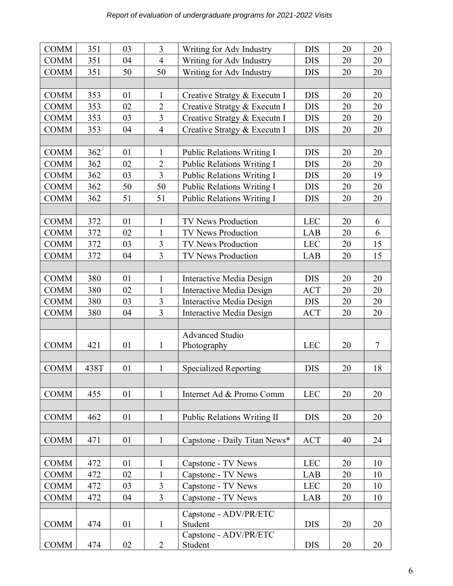| <b>COMM</b> | 351  | 03 | 3              | Writing for Adv Industry           | <b>DIS</b> | 20 | 20 |
|-------------|------|----|----------------|------------------------------------|------------|----|----|
| <b>COMM</b> | 351  | 04 | $\overline{4}$ | Writing for Adv Industry           | <b>DIS</b> | 20 | 20 |
| <b>COMM</b> | 351  | 50 | 50             | Writing for Adv Industry           | <b>DIS</b> | 20 | 20 |
|             |      |    |                |                                    |            |    |    |
| <b>COMM</b> | 353  | 01 | $\mathbf{1}$   | Creative Stratgy & Executn I       | <b>DIS</b> | 20 | 20 |
| <b>COMM</b> | 353  | 02 | $\overline{2}$ | Creative Stratgy & Executn I       | <b>DIS</b> | 20 | 20 |
| <b>COMM</b> | 353  | 03 | 3              | Creative Stratgy & Executn I       | <b>DIS</b> | 20 | 20 |
| <b>COMM</b> | 353  | 04 | $\overline{4}$ | Creative Stratgy & Executn I       | <b>DIS</b> | 20 | 20 |
|             |      |    |                |                                    |            |    |    |
| <b>COMM</b> | 362  | 01 | $\mathbf{1}$   | Public Relations Writing I         | <b>DIS</b> | 20 | 20 |
| <b>COMM</b> | 362  | 02 | $\overline{2}$ | <b>Public Relations Writing I</b>  | <b>DIS</b> | 20 | 20 |
| <b>COMM</b> | 362  | 03 | $\overline{3}$ | <b>Public Relations Writing I</b>  | <b>DIS</b> | 20 | 19 |
| <b>COMM</b> | 362  | 50 | 50             | Public Relations Writing I         | <b>DIS</b> | 20 | 20 |
| <b>COMM</b> | 362  | 51 | 51             | <b>Public Relations Writing I</b>  | <b>DIS</b> | 20 | 20 |
|             |      |    |                |                                    |            |    |    |
| <b>COMM</b> | 372  | 01 | $\mathbf{1}$   | <b>TV News Production</b>          | <b>LEC</b> | 20 | 6  |
| <b>COMM</b> | 372  | 02 | $\mathbf{1}$   | <b>TV News Production</b>          | LAB        | 20 | 6  |
| <b>COMM</b> | 372  | 03 | $\overline{3}$ | TV News Production                 | <b>LEC</b> | 20 | 15 |
| <b>COMM</b> | 372  | 04 | $\overline{3}$ | <b>TV News Production</b>          | LAB        | 20 | 15 |
|             |      |    |                |                                    |            |    |    |
| <b>COMM</b> | 380  | 01 | $\mathbf{1}$   | <b>Interactive Media Design</b>    | <b>DIS</b> | 20 | 20 |
| <b>COMM</b> | 380  | 02 | $\mathbf{1}$   | Interactive Media Design           | <b>ACT</b> | 20 | 20 |
| <b>COMM</b> | 380  | 03 | 3              | Interactive Media Design           | <b>DIS</b> | 20 | 20 |
| <b>COMM</b> | 380  | 04 | $\overline{3}$ | Interactive Media Design           | <b>ACT</b> | 20 | 20 |
|             |      |    |                |                                    |            |    |    |
|             |      |    |                | <b>Advanced Studio</b>             |            |    |    |
| <b>COMM</b> | 421  | 01 | $\mathbf{1}$   | Photography                        | <b>LEC</b> | 20 | 7  |
|             |      |    |                |                                    |            |    |    |
| <b>COMM</b> | 438T | 01 | $\mathbf{1}$   | <b>Specialized Reporting</b>       | <b>DIS</b> | 20 | 18 |
|             |      |    |                |                                    |            |    |    |
| <b>COMM</b> | 455  | 01 | $\mathbf{1}$   | Internet Ad & Promo Comm           | <b>LEC</b> | 20 | 20 |
|             |      |    |                |                                    |            |    |    |
| <b>COMM</b> | 462  | 01 | $\mathbf{1}$   | <b>Public Relations Writing II</b> | <b>DIS</b> | 20 | 20 |
|             |      |    |                |                                    |            |    |    |
| <b>COMM</b> | 471  | 01 | $\mathbf{1}$   | Capstone - Daily Titan News*       | <b>ACT</b> | 40 | 24 |
|             |      |    |                |                                    |            |    |    |
| <b>COMM</b> | 472  | 01 | $\mathbf{1}$   | Capstone - TV News                 | <b>LEC</b> | 20 | 10 |
| <b>COMM</b> | 472  | 02 | $\mathbf{1}$   | Capstone - TV News                 | LAB        | 20 | 10 |
| <b>COMM</b> | 472  | 03 | 3              | Capstone - TV News                 | <b>LEC</b> | 20 | 10 |
| <b>COMM</b> | 472  | 04 | 3              | Capstone - TV News                 | LAB        | 20 | 10 |
|             |      |    |                |                                    |            |    |    |
|             |      |    |                | Capstone - ADV/PR/ETC              |            |    |    |
| <b>COMM</b> | 474  | 01 | $\mathbf{1}$   | Student<br>Capstone - ADV/PR/ETC   | <b>DIS</b> | 20 | 20 |
| <b>COMM</b> | 474  | 02 | $\overline{2}$ | Student                            | <b>DIS</b> | 20 | 20 |
|             |      |    |                |                                    |            |    |    |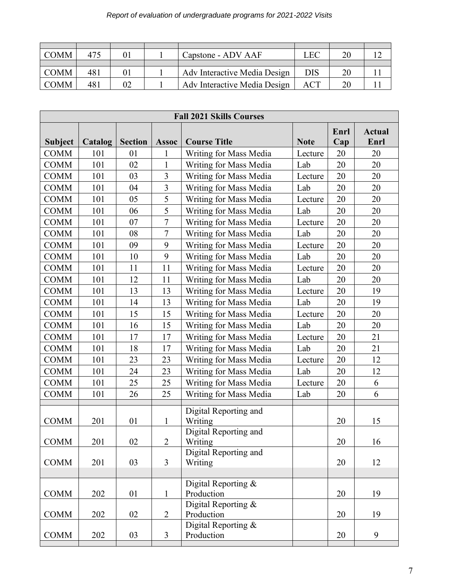| <b>COMM</b> | 475 |    | Capstone - ADV AAF           | LEC | 20 |  |
|-------------|-----|----|------------------------------|-----|----|--|
|             |     |    |                              |     |    |  |
| <b>COMM</b> | 481 | 0  | Adv Interactive Media Design | DIS |    |  |
| <b>COMM</b> | 481 | 02 | Adv Interactive Media Design | ACT |    |  |

|                | <b>Fall 2021 Skills Courses</b> |                |                |                                                           |             |             |                       |  |  |
|----------------|---------------------------------|----------------|----------------|-----------------------------------------------------------|-------------|-------------|-----------------------|--|--|
| <b>Subject</b> | Catalog                         | <b>Section</b> | <b>Assoc</b>   | <b>Course Title</b>                                       | <b>Note</b> | Enrl<br>Cap | <b>Actual</b><br>Enrl |  |  |
| <b>COMM</b>    | 101                             | 01             | 1              | Writing for Mass Media                                    | Lecture     | 20          | 20                    |  |  |
| <b>COMM</b>    | 101                             | 02             | $\mathbf{1}$   | Writing for Mass Media                                    | Lab         | 20          | 20                    |  |  |
| <b>COMM</b>    | 101                             | 03             | 3              | Writing for Mass Media                                    | Lecture     | 20          | 20                    |  |  |
| <b>COMM</b>    | 101                             | 04             | 3              | Writing for Mass Media                                    | Lab         | 20          | 20                    |  |  |
| <b>COMM</b>    | 101                             | 05             | 5              | Writing for Mass Media                                    | Lecture     | 20          | 20                    |  |  |
| <b>COMM</b>    | 101                             | 06             | 5              | Writing for Mass Media                                    | Lab         | 20          | 20                    |  |  |
| <b>COMM</b>    | 101                             | 07             | $\overline{7}$ | Writing for Mass Media                                    | Lecture     | 20          | 20                    |  |  |
| <b>COMM</b>    | 101                             | 08             | $\overline{7}$ | Writing for Mass Media                                    | Lab         | 20          | 20                    |  |  |
| <b>COMM</b>    | 101                             | 09             | 9              | Writing for Mass Media                                    | Lecture     | 20          | 20                    |  |  |
| <b>COMM</b>    | 101                             | 10             | 9              | Writing for Mass Media                                    | Lab         | 20          | 20                    |  |  |
| <b>COMM</b>    | 101                             | 11             | 11             | Writing for Mass Media                                    | Lecture     | 20          | 20                    |  |  |
| <b>COMM</b>    | 101                             | 12             | 11             | Writing for Mass Media                                    | Lab         | 20          | 20                    |  |  |
| <b>COMM</b>    | 101                             | 13             | 13             | Writing for Mass Media                                    | Lecture     | 20          | 19                    |  |  |
| <b>COMM</b>    | 101                             | 14             | 13             | Writing for Mass Media                                    | Lab         | 20          | 19                    |  |  |
| <b>COMM</b>    | 101                             | 15             | 15             | Writing for Mass Media                                    | Lecture     | 20          | 20                    |  |  |
| <b>COMM</b>    | 101                             | 16             | 15             | Writing for Mass Media                                    | Lab         | 20          | 20                    |  |  |
| <b>COMM</b>    | 101                             | 17             | 17             | Writing for Mass Media                                    | Lecture     | 20          | 21                    |  |  |
| <b>COMM</b>    | 101                             | 18             | 17             | Writing for Mass Media                                    | Lab         | 20          | 21                    |  |  |
| <b>COMM</b>    | 101                             | 23             | 23             | Writing for Mass Media                                    | Lecture     | 20          | 12                    |  |  |
| <b>COMM</b>    | 101                             | 24             | 23             | Writing for Mass Media                                    | Lab         | 20          | 12                    |  |  |
| <b>COMM</b>    | 101                             | 25             | 25             | <b>Writing for Mass Media</b>                             | Lecture     | 20          | 6                     |  |  |
| <b>COMM</b>    | 101                             | 26             | 25             | Writing for Mass Media                                    | Lab         | 20          | 6                     |  |  |
| <b>COMM</b>    | 201                             | 01             | $\mathbf{1}$   | Digital Reporting and<br>Writing<br>Digital Reporting and |             | 20          | 15                    |  |  |
| <b>COMM</b>    | 201                             | 02             | $\overline{2}$ | Writing                                                   |             | 20          | 16                    |  |  |
| <b>COMM</b>    | 201                             | 03             | $\overline{3}$ | Digital Reporting and<br>Writing                          |             | 20          | 12                    |  |  |
| <b>COMM</b>    | 202                             | 01             | $\mathbf{1}$   | Digital Reporting $&$<br>Production                       |             | 20          | 19                    |  |  |
| <b>COMM</b>    | 202                             | 02             | $\overline{2}$ | Digital Reporting &<br>Production                         |             | 20          | 19                    |  |  |
| <b>COMM</b>    | 202                             | 03             | $\mathfrak{Z}$ | Digital Reporting &<br>Production                         |             | 20          | 9                     |  |  |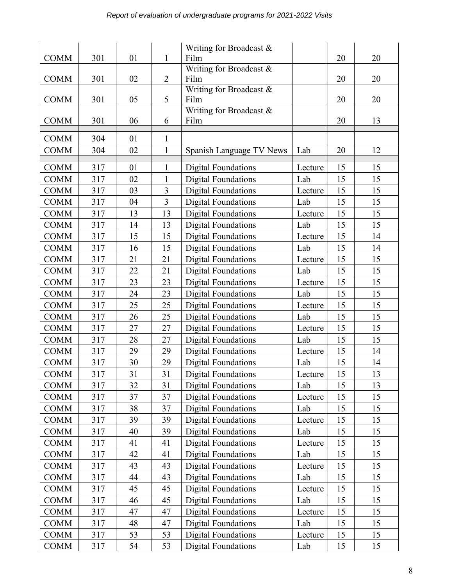|             |     |    |                | Writing for Broadcast $\&$ |         |    |    |
|-------------|-----|----|----------------|----------------------------|---------|----|----|
| <b>COMM</b> | 301 | 01 | $\mathbf{1}$   | Film                       |         | 20 | 20 |
|             |     |    |                | Writing for Broadcast &    |         |    |    |
| <b>COMM</b> | 301 | 02 | $\overline{2}$ | Film                       |         | 20 | 20 |
|             |     |    |                | Writing for Broadcast &    |         |    |    |
| <b>COMM</b> | 301 | 05 | 5              | Film                       |         | 20 | 20 |
|             |     |    |                | Writing for Broadcast &    |         |    |    |
| <b>COMM</b> | 301 | 06 | 6              | Film                       |         | 20 | 13 |
| <b>COMM</b> | 304 | 01 | 1              |                            |         |    |    |
| <b>COMM</b> | 304 | 02 | $\mathbf{1}$   | Spanish Language TV News   | Lab     | 20 | 12 |
|             |     |    |                |                            |         |    |    |
| <b>COMM</b> | 317 | 01 | 1              | <b>Digital Foundations</b> | Lecture | 15 | 15 |
| <b>COMM</b> | 317 | 02 | $\mathbf{1}$   | <b>Digital Foundations</b> | Lab     | 15 | 15 |
| <b>COMM</b> | 317 | 03 | 3              | <b>Digital Foundations</b> | Lecture | 15 | 15 |
| <b>COMM</b> | 317 | 04 | $\overline{3}$ | <b>Digital Foundations</b> | Lab     | 15 | 15 |
| <b>COMM</b> | 317 | 13 | 13             | <b>Digital Foundations</b> | Lecture | 15 | 15 |
| <b>COMM</b> | 317 | 14 | 13             | <b>Digital Foundations</b> | Lab     | 15 | 15 |
| <b>COMM</b> | 317 | 15 | 15             | <b>Digital Foundations</b> | Lecture | 15 | 14 |
| <b>COMM</b> | 317 | 16 | 15             | <b>Digital Foundations</b> | Lab     | 15 | 14 |
| <b>COMM</b> | 317 | 21 | 21             | <b>Digital Foundations</b> | Lecture | 15 | 15 |
| <b>COMM</b> | 317 | 22 | 21             | <b>Digital Foundations</b> | Lab     | 15 | 15 |
| <b>COMM</b> | 317 | 23 | 23             | <b>Digital Foundations</b> | Lecture | 15 | 15 |
| <b>COMM</b> | 317 | 24 | 23             | <b>Digital Foundations</b> | Lab     | 15 | 15 |
| <b>COMM</b> | 317 | 25 | 25             | <b>Digital Foundations</b> | Lecture | 15 | 15 |
| <b>COMM</b> | 317 | 26 | 25             | <b>Digital Foundations</b> | Lab     | 15 | 15 |
| <b>COMM</b> | 317 | 27 | 27             | <b>Digital Foundations</b> | Lecture | 15 | 15 |
| <b>COMM</b> | 317 | 28 | 27             | <b>Digital Foundations</b> | Lab     | 15 | 15 |
| <b>COMM</b> | 317 | 29 | 29             | <b>Digital Foundations</b> | Lecture | 15 | 14 |
| <b>COMM</b> | 317 | 30 | 29             | <b>Digital Foundations</b> | Lab     | 15 | 14 |
| <b>COMM</b> | 317 | 31 | 31             | <b>Digital Foundations</b> | Lecture | 15 | 13 |
| <b>COMM</b> | 317 | 32 | 31             | Digital Foundations        | Lab     | 15 | 13 |
| <b>COMM</b> | 317 | 37 | 37             | <b>Digital Foundations</b> | Lecture | 15 | 15 |
| <b>COMM</b> | 317 | 38 | 37             | <b>Digital Foundations</b> | Lab     | 15 | 15 |
| <b>COMM</b> | 317 | 39 | 39             | <b>Digital Foundations</b> | Lecture | 15 | 15 |
| <b>COMM</b> | 317 | 40 | 39             | <b>Digital Foundations</b> | Lab     | 15 | 15 |
| <b>COMM</b> | 317 | 41 | 41             | <b>Digital Foundations</b> | Lecture | 15 | 15 |
| <b>COMM</b> | 317 | 42 | 41             | <b>Digital Foundations</b> | Lab     | 15 | 15 |
| <b>COMM</b> | 317 | 43 | 43             | <b>Digital Foundations</b> | Lecture | 15 | 15 |
| <b>COMM</b> | 317 | 44 | 43             | <b>Digital Foundations</b> | Lab     | 15 | 15 |
| <b>COMM</b> | 317 | 45 | 45             | <b>Digital Foundations</b> | Lecture | 15 | 15 |
| <b>COMM</b> | 317 | 46 | 45             | <b>Digital Foundations</b> | Lab     | 15 | 15 |
| <b>COMM</b> | 317 | 47 | 47             | <b>Digital Foundations</b> | Lecture | 15 | 15 |
| <b>COMM</b> | 317 | 48 | 47             | <b>Digital Foundations</b> | Lab     | 15 | 15 |
| <b>COMM</b> | 317 | 53 | 53             | <b>Digital Foundations</b> | Lecture | 15 | 15 |
| <b>COMM</b> | 317 | 54 | 53             | <b>Digital Foundations</b> | Lab     | 15 | 15 |
|             |     |    |                |                            |         |    |    |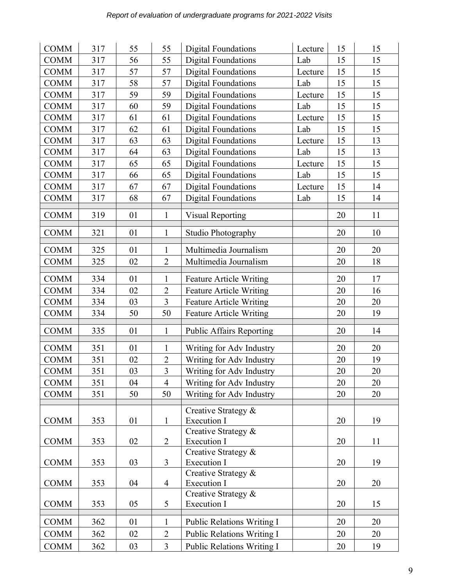| <b>COMM</b> | 317 | 55 | 55             | Digital Foundations                | Lecture | 15 | 15 |
|-------------|-----|----|----------------|------------------------------------|---------|----|----|
| <b>COMM</b> | 317 | 56 | 55             | <b>Digital Foundations</b>         | Lab     | 15 | 15 |
| <b>COMM</b> | 317 | 57 | 57             | <b>Digital Foundations</b>         | Lecture | 15 | 15 |
| <b>COMM</b> | 317 | 58 | 57             | <b>Digital Foundations</b>         | Lab     | 15 | 15 |
| <b>COMM</b> | 317 | 59 | 59             | <b>Digital Foundations</b>         | Lecture | 15 | 15 |
| <b>COMM</b> | 317 | 60 | 59             | <b>Digital Foundations</b>         | Lab     | 15 | 15 |
| <b>COMM</b> | 317 | 61 | 61             | <b>Digital Foundations</b>         | Lecture | 15 | 15 |
| <b>COMM</b> | 317 | 62 | 61             | <b>Digital Foundations</b>         | Lab     | 15 | 15 |
| <b>COMM</b> | 317 | 63 | 63             | <b>Digital Foundations</b>         | Lecture | 15 | 13 |
| <b>COMM</b> | 317 | 64 | 63             | <b>Digital Foundations</b>         | Lab     | 15 | 13 |
| <b>COMM</b> | 317 | 65 | 65             | <b>Digital Foundations</b>         | Lecture | 15 | 15 |
| <b>COMM</b> | 317 | 66 | 65             | <b>Digital Foundations</b>         | Lab     | 15 | 15 |
| <b>COMM</b> | 317 | 67 | 67             | <b>Digital Foundations</b>         | Lecture | 15 | 14 |
| <b>COMM</b> | 317 | 68 | 67             | <b>Digital Foundations</b>         | Lab     | 15 | 14 |
|             |     |    |                |                                    |         |    |    |
| <b>COMM</b> | 319 | 01 | $\mathbf{1}$   | <b>Visual Reporting</b>            |         | 20 | 11 |
| <b>COMM</b> | 321 | 01 | $\mathbf{1}$   | Studio Photography                 |         | 20 | 10 |
| <b>COMM</b> | 325 | 01 | $\mathbf{1}$   | Multimedia Journalism              |         | 20 | 20 |
| <b>COMM</b> | 325 | 02 | $\overline{2}$ | Multimedia Journalism              |         | 20 | 18 |
| <b>COMM</b> | 334 | 01 | 1              | <b>Feature Article Writing</b>     |         | 20 | 17 |
| <b>COMM</b> | 334 | 02 | $\overline{2}$ | <b>Feature Article Writing</b>     |         | 20 | 16 |
| <b>COMM</b> | 334 | 03 | $\overline{3}$ | <b>Feature Article Writing</b>     |         | 20 | 20 |
| <b>COMM</b> | 334 | 50 | 50             | <b>Feature Article Writing</b>     |         | 20 | 19 |
| <b>COMM</b> | 335 | 01 | $\mathbf{1}$   | <b>Public Affairs Reporting</b>    |         | 20 | 14 |
| <b>COMM</b> | 351 | 01 | 1              | Writing for Adv Industry           |         | 20 | 20 |
| <b>COMM</b> | 351 | 02 | $\overline{2}$ | Writing for Adv Industry           |         | 20 | 19 |
| <b>COMM</b> | 351 | 03 | $\overline{3}$ | Writing for Adv Industry           |         | 20 | 20 |
| <b>COMM</b> | 351 | 04 | $\overline{4}$ | Writing for Adv Industry           |         | 20 | 20 |
| <b>COMM</b> | 351 | 50 | 50             | Writing for Adv Industry           |         | 20 | 20 |
|             |     |    |                |                                    |         |    |    |
|             |     |    |                | Creative Strategy &                |         |    |    |
| <b>COMM</b> | 353 | 01 | $\mathbf{1}$   | <b>Execution I</b>                 |         | 20 | 19 |
| <b>COMM</b> | 353 | 02 | $\overline{2}$ | Creative Strategy &<br>Execution I |         | 20 | 11 |
|             |     |    |                | Creative Strategy &                |         |    |    |
| <b>COMM</b> | 353 | 03 | 3              | <b>Execution I</b>                 |         | 20 | 19 |
|             |     |    |                | Creative Strategy &                |         | 20 | 20 |
| <b>COMM</b> | 353 | 04 | $\overline{4}$ | Execution I<br>Creative Strategy & |         |    |    |
| <b>COMM</b> | 353 | 05 | 5              | Execution I                        |         | 20 | 15 |
| <b>COMM</b> | 362 | 01 | $\mathbf{1}$   | <b>Public Relations Writing I</b>  |         | 20 | 20 |
| <b>COMM</b> | 362 | 02 | $\overline{2}$ | Public Relations Writing I         |         | 20 | 20 |
| <b>COMM</b> | 362 | 03 | $\overline{3}$ | Public Relations Writing I         |         | 20 | 19 |
|             |     |    |                |                                    |         |    |    |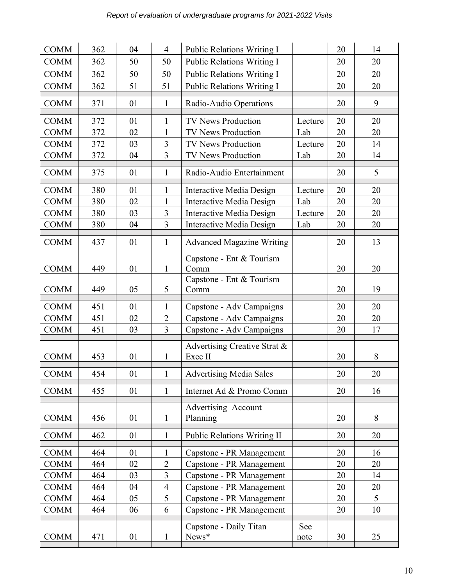| <b>COMM</b> | 362 | 04 | $\overline{4}$ | <b>Public Relations Writing I</b>       |         | 20 | 14 |
|-------------|-----|----|----------------|-----------------------------------------|---------|----|----|
| <b>COMM</b> | 362 | 50 | 50             | Public Relations Writing I              |         | 20 | 20 |
| <b>COMM</b> | 362 | 50 | 50             | Public Relations Writing I              |         | 20 | 20 |
| <b>COMM</b> | 362 | 51 | 51             | Public Relations Writing I              |         | 20 | 20 |
| <b>COMM</b> | 371 | 01 | $\mathbf{1}$   | Radio-Audio Operations                  |         | 20 | 9  |
|             |     |    |                |                                         |         |    |    |
| <b>COMM</b> | 372 | 01 | $\mathbf{1}$   | <b>TV News Production</b>               | Lecture | 20 | 20 |
| <b>COMM</b> | 372 | 02 | $\mathbf{1}$   | TV News Production                      | Lab     | 20 | 20 |
| <b>COMM</b> | 372 | 03 | $\overline{3}$ | <b>TV News Production</b>               | Lecture | 20 | 14 |
| <b>COMM</b> | 372 | 04 | $\overline{3}$ | TV News Production                      | Lab     | 20 | 14 |
| <b>COMM</b> | 375 | 01 | $\mathbf{1}$   | Radio-Audio Entertainment               |         | 20 | 5  |
| <b>COMM</b> | 380 | 01 | 1              | <b>Interactive Media Design</b>         | Lecture | 20 | 20 |
| <b>COMM</b> | 380 | 02 | $\mathbf{1}$   | Interactive Media Design                | Lab     | 20 | 20 |
| <b>COMM</b> | 380 | 03 | $\overline{3}$ | <b>Interactive Media Design</b>         | Lecture | 20 | 20 |
| <b>COMM</b> | 380 | 04 | 3              | <b>Interactive Media Design</b>         | Lab     | 20 | 20 |
| <b>COMM</b> | 437 | 01 | $\mathbf{1}$   | <b>Advanced Magazine Writing</b>        |         | 20 | 13 |
|             |     |    |                |                                         |         |    |    |
| <b>COMM</b> | 449 | 01 | $\mathbf{1}$   | Capstone - Ent & Tourism<br>Comm        |         | 20 | 20 |
|             |     |    |                | Capstone - Ent & Tourism                |         |    |    |
| <b>COMM</b> | 449 | 05 | 5              | Comm                                    |         | 20 | 19 |
| <b>COMM</b> | 451 | 01 | $\mathbf{1}$   | Capstone - Adv Campaigns                |         | 20 | 20 |
| <b>COMM</b> | 451 | 02 | $\overline{2}$ | Capstone - Adv Campaigns                |         | 20 | 20 |
| <b>COMM</b> | 451 | 03 | 3              | Capstone - Adv Campaigns                |         | 20 | 17 |
| <b>COMM</b> | 453 | 01 | $\mathbf{1}$   | Advertising Creative Strat &<br>Exec II |         | 20 | 8  |
|             |     |    |                |                                         |         |    |    |
| <b>COMM</b> | 454 | 01 | $\mathbf{1}$   | <b>Advertising Media Sales</b>          |         | 20 | 20 |
| <b>COMM</b> | 455 | 01 | $\mathbf{1}$   | Internet Ad & Promo Comm                |         | 20 | 16 |
| <b>COMM</b> | 456 | 01 | $\mathbf{1}$   | Advertising Account<br>Planning         |         | 20 | 8  |
| <b>COMM</b> | 462 | 01 | $\mathbf{1}$   | <b>Public Relations Writing II</b>      |         | 20 | 20 |
| <b>COMM</b> | 464 | 01 | $\mathbf{1}$   | Capstone - PR Management                |         | 20 | 16 |
| <b>COMM</b> | 464 | 02 | $\overline{2}$ | Capstone - PR Management                |         | 20 | 20 |
| <b>COMM</b> | 464 | 03 | $\overline{3}$ | Capstone - PR Management                |         | 20 | 14 |
| <b>COMM</b> | 464 | 04 | 4              | Capstone - PR Management                |         | 20 | 20 |
| <b>COMM</b> | 464 | 05 | 5              | Capstone - PR Management                |         | 20 | 5  |
| <b>COMM</b> | 464 | 06 | 6              | Capstone - PR Management                |         | 20 | 10 |
|             |     |    |                | Capstone - Daily Titan                  | See     |    |    |
| <b>COMM</b> | 471 | 01 | $\mathbf{1}$   | News*                                   | note    | 30 | 25 |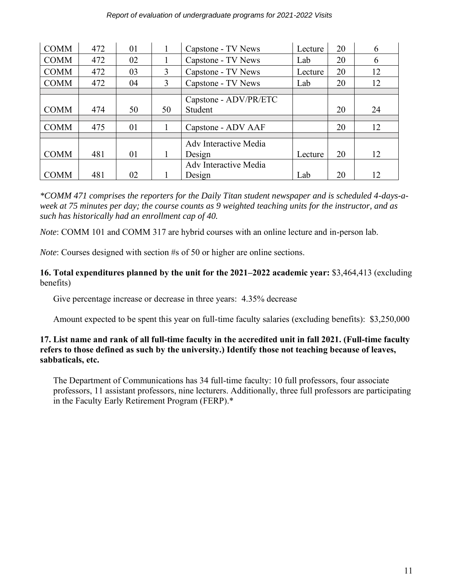| <b>COMM</b> | 472 | 01 | $\mathbf{I}$ | Capstone - TV News           | Lecture | 20 | 6  |
|-------------|-----|----|--------------|------------------------------|---------|----|----|
| <b>COMM</b> | 472 | 02 |              | Capstone - TV News           | Lab     | 20 | 6  |
| <b>COMM</b> | 472 | 03 | 3            | Capstone - TV News           | Lecture | 20 | 12 |
| <b>COMM</b> | 472 | 04 | 3            | Capstone - TV News           | Lab     | 20 | 12 |
|             |     |    |              |                              |         |    |    |
|             |     |    |              | Capstone - ADV/PR/ETC        |         |    |    |
| <b>COMM</b> | 474 | 50 | 50           | Student                      |         | 20 | 24 |
|             |     |    |              |                              |         |    |    |
| <b>COMM</b> | 475 | 01 | 1            | Capstone - ADV AAF           |         | 20 | 12 |
|             |     |    |              |                              |         |    |    |
|             |     |    |              | Adv Interactive Media        |         |    |    |
| <b>COMM</b> | 481 | 01 | 1            | Design                       | Lecture | 20 | 12 |
|             |     |    |              | <b>Adv Interactive Media</b> |         |    |    |
| <b>COMM</b> | 481 | 02 |              | Design                       | Lab     | 20 | 12 |

*\*COMM 471 comprises the reporters for the Daily Titan student newspaper and is scheduled 4-days-aweek at 75 minutes per day; the course counts as 9 weighted teaching units for the instructor, and as such has historically had an enrollment cap of 40.* 

*Note*: COMM 101 and COMM 317 are hybrid courses with an online lecture and in-person lab.

*Note*: Courses designed with section #s of 50 or higher are online sections.

#### **16. Total expenditures planned by the unit for the 2021–2022 academic year:** \$3,464,413 (excluding benefits)

Give percentage increase or decrease in three years: 4.35% decrease

Amount expected to be spent this year on full-time faculty salaries (excluding benefits): \$3,250,000

# **17. List name and rank of all full-time faculty in the accredited unit in fall 2021. (Full-time faculty refers to those defined as such by the university.) Identify those not teaching because of leaves, sabbaticals, etc.**

The Department of Communications has 34 full-time faculty: 10 full professors, four associate professors, 11 assistant professors, nine lecturers. Additionally, three full professors are participating in the Faculty Early Retirement Program (FERP).\*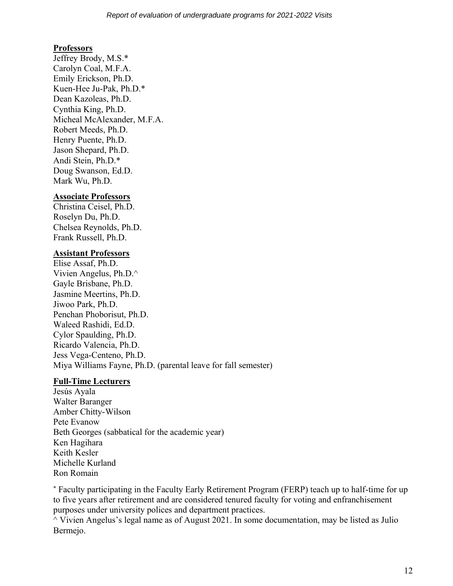### **Professors**

Jeffrey Brody, M.S.\* Carolyn Coal, M.F.A. Emily Erickson, Ph.D. Kuen-Hee Ju-Pak, Ph.D.\* Dean Kazoleas, Ph.D. Cynthia King, Ph.D. Micheal McAlexander, M.F.A. Robert Meeds, Ph.D. Henry Puente, Ph.D. Jason Shepard, Ph.D. Andi Stein, Ph.D.\* Doug Swanson, Ed.D. Mark Wu, Ph.D.

#### **Associate Professors**

Christina Ceisel, Ph.D. Roselyn Du, Ph.D. Chelsea Reynolds, Ph.D. Frank Russell, Ph.D.

# **Assistant Professors**

Elise Assaf, Ph.D. Vivien Angelus, Ph.D.^ Gayle Brisbane, Ph.D. Jasmine Meertins, Ph.D. Jiwoo Park, Ph.D. Penchan Phoborisut, Ph.D. Waleed Rashidi, Ed.D. Cylor Spaulding, Ph.D. Ricardo Valencia, Ph.D. Jess Vega-Centeno, Ph.D. Miya Williams Fayne, Ph.D. (parental leave for fall semester)

#### **Full-Time Lecturers**

Jesús Ayala Walter Baranger Amber Chitty-Wilson Pete Evanow Beth Georges (sabbatical for the academic year) Ken Hagihara Keith Kesler Michelle Kurland Ron Romain

 Faculty participating in the Faculty Early Retirement Program (FERP) teach up to half-time for up to five years after retirement and are considered tenured faculty for voting and enfranchisement purposes under university polices and department practices.

 $\land$  Vivien Angelus's legal name as of August 2021. In some documentation, may be listed as Julio Bermejo.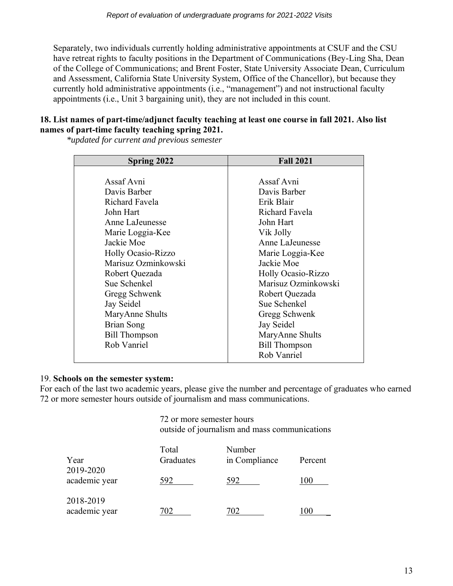Separately, two individuals currently holding administrative appointments at CSUF and the CSU have retreat rights to faculty positions in the Department of Communications (Bey-Ling Sha, Dean of the College of Communications; and Brent Foster, State University Associate Dean, Curriculum and Assessment, California State University System, Office of the Chancellor), but because they currently hold administrative appointments (i.e., "management") and not instructional faculty appointments (i.e., Unit 3 bargaining unit), they are not included in this count.

#### **18. List names of part-time/adjunct faculty teaching at least one course in fall 2021. Also list names of part-time faculty teaching spring 2021.**

*\*updated for current and previous semester*

| Assaf Avni<br>Davis Barber<br>Richard Favela<br>John Hart<br>Anne LaJeunesse | Assaf Avni<br>Davis Barber<br>Erik Blair<br><b>Richard Favela</b> |  |
|------------------------------------------------------------------------------|-------------------------------------------------------------------|--|
|                                                                              |                                                                   |  |
|                                                                              |                                                                   |  |
|                                                                              |                                                                   |  |
|                                                                              |                                                                   |  |
|                                                                              |                                                                   |  |
|                                                                              | John Hart                                                         |  |
| Marie Loggia-Kee                                                             | Vik Jolly                                                         |  |
| Jackie Moe                                                                   | Anne LaJeunesse                                                   |  |
| Holly Ocasio-Rizzo                                                           | Marie Loggia-Kee                                                  |  |
| Marisuz Ozminkowski                                                          | Jackie Moe                                                        |  |
| Robert Quezada                                                               | <b>Holly Ocasio-Rizzo</b>                                         |  |
| Sue Schenkel                                                                 | Marisuz Ozminkowski                                               |  |
| Gregg Schwenk                                                                | Robert Quezada                                                    |  |
| Jay Seidel                                                                   | Sue Schenkel                                                      |  |
| MaryAnne Shults                                                              | Gregg Schwenk                                                     |  |
| Brian Song                                                                   | Jay Seidel                                                        |  |
|                                                                              |                                                                   |  |
| Rob Vanriel                                                                  | <b>Bill Thompson</b>                                              |  |
|                                                                              | Rob Vanriel                                                       |  |
| <b>Bill Thompson</b>                                                         | MaryAnne Shults                                                   |  |

#### 19. **Schools on the semester system:**

For each of the last two academic years, please give the number and percentage of graduates who earned 72 or more semester hours outside of journalism and mass communications.

> 72 or more semester hours outside of journalism and mass communications

| Year<br>2019-2020          | Total<br>Graduates | Number<br>in Compliance | Percent      |
|----------------------------|--------------------|-------------------------|--------------|
| academic year              | 592                | 592                     | I ()()       |
| 2018-2019<br>academic year | 702                | 702                     | $($ $\Omega$ |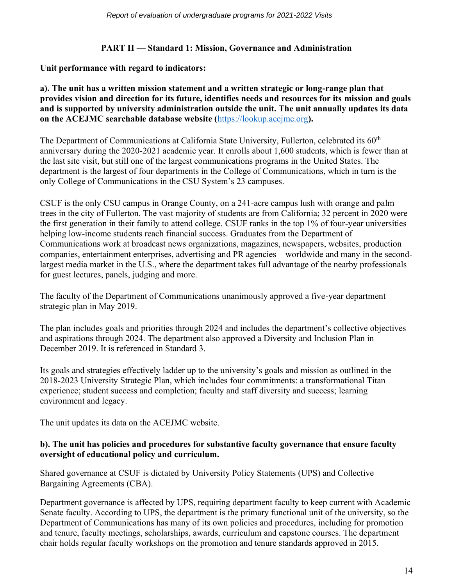# **PART II — Standard 1: Mission, Governance and Administration**

# **Unit performance with regard to indicators:**

#### **a). The unit has a written mission statement and a written strategic or long-range plan that provides vision and direction for its future, identifies needs and resources for its mission and goals and is supported by university administration outside the unit. The unit annually updates its data on the ACEJMC searchable database website (**[https://lookup.acejmc.org](https://lookup.acejmc.org/)**).**

The Department of Communications at California State University, Fullerton, celebrated its 60<sup>th</sup> anniversary during the 2020-2021 academic year. It enrolls about 1,600 students, which is fewer than at the last site visit, but still one of the largest communications programs in the United States. The department is the largest of four departments in the College of Communications, which in turn is the only College of Communications in the CSU System's 23 campuses.

CSUF is the only CSU campus in Orange County, on a 241-acre campus lush with orange and palm trees in the city of Fullerton. The vast majority of students are from California; 32 percent in 2020 were the first generation in their family to attend college. CSUF ranks in the top 1% of four-year universities helping low-income students reach financial success. Graduates from the Department of Communications work at broadcast news organizations, magazines, newspapers, websites, production companies, entertainment enterprises, advertising and PR agencies – worldwide and many in the secondlargest media market in the U.S., where the department takes full advantage of the nearby professionals for guest lectures, panels, judging and more.

The faculty of the Department of Communications unanimously approved a five-year department strategic plan in May 2019.

The plan includes goals and priorities through 2024 and includes the department's collective objectives and aspirations through 2024. The department also approved a Diversity and Inclusion Plan in December 2019. It is referenced in Standard 3.

Its goals and strategies effectively ladder up to the university's goals and mission as outlined in the 2018-2023 University Strategic Plan, which includes four commitments: a transformational Titan experience; student success and completion; faculty and staff diversity and success; learning environment and legacy.

The unit updates its data on the ACEJMC website.

# **b). The unit has policies and procedures for substantive faculty governance that ensure faculty oversight of educational policy and curriculum.**

Shared governance at CSUF is dictated by University Policy Statements (UPS) and Collective Bargaining Agreements (CBA).

Department governance is affected by UPS, requiring department faculty to keep current with Academic Senate faculty. According to UPS, the department is the primary functional unit of the university, so the Department of Communications has many of its own policies and procedures, including for promotion and tenure, faculty meetings, scholarships, awards, curriculum and capstone courses. The department chair holds regular faculty workshops on the promotion and tenure standards approved in 2015.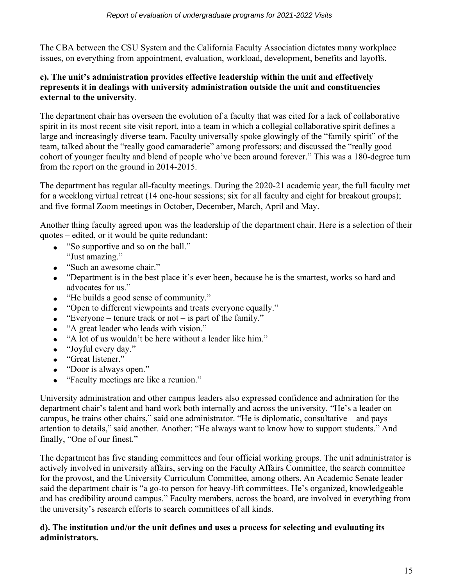The CBA between the CSU System and the California Faculty Association dictates many workplace issues, on everything from appointment, evaluation, workload, development, benefits and layoffs.

#### **c). The unit's administration provides effective leadership within the unit and effectively represents it in dealings with university administration outside the unit and constituencies external to the university**.

The department chair has overseen the evolution of a faculty that was cited for a lack of collaborative spirit in its most recent site visit report, into a team in which a collegial collaborative spirit defines a large and increasingly diverse team. Faculty universally spoke glowingly of the "family spirit" of the team, talked about the "really good camaraderie" among professors; and discussed the "really good cohort of younger faculty and blend of people who've been around forever." This was a 180-degree turn from the report on the ground in 2014-2015.

The department has regular all-faculty meetings. During the 2020-21 academic year, the full faculty met for a weeklong virtual retreat (14 one-hour sessions; six for all faculty and eight for breakout groups); and five formal Zoom meetings in October, December, March, April and May.

Another thing faculty agreed upon was the leadership of the department chair. Here is a selection of their quotes – edited, or it would be quite redundant:

- "So supportive and so on the ball." "Just amazing."
- "Such an awesome chair."
- "Department is in the best place it's ever been, because he is the smartest, works so hard and advocates for us."
- "He builds a good sense of community."
- "Open to different viewpoints and treats everyone equally."
- "Everyone tenure track or not is part of the family."
- "A great leader who leads with vision."
- "A lot of us wouldn't be here without a leader like him."
- "Joyful every day."
- "Great listener."
- "Door is always open."
- "Faculty meetings are like a reunion."

University administration and other campus leaders also expressed confidence and admiration for the department chair's talent and hard work both internally and across the university. "He's a leader on campus, he trains other chairs," said one administrator. "He is diplomatic, consultative – and pays attention to details," said another. Another: "He always want to know how to support students." And finally, "One of our finest."

The department has five standing committees and four official working groups. The unit administrator is actively involved in university affairs, serving on the Faculty Affairs Committee, the search committee for the provost, and the University Curriculum Committee, among others. An Academic Senate leader said the department chair is "a go-to person for heavy-lift committees. He's organized, knowledgeable and has credibility around campus." Faculty members, across the board, are involved in everything from the university's research efforts to search committees of all kinds.

#### **d). The institution and/or the unit defines and uses a process for selecting and evaluating its administrators.**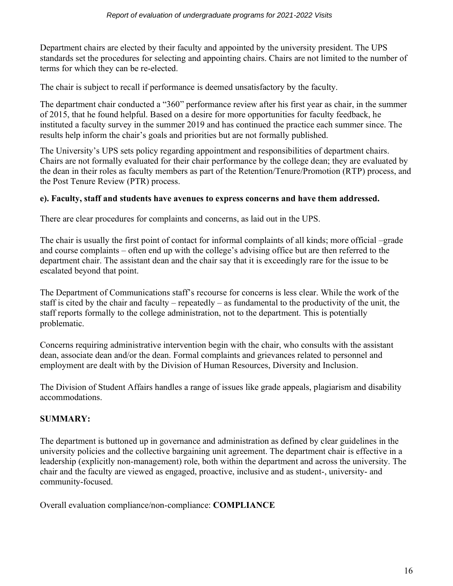Department chairs are elected by their faculty and appointed by the university president. The UPS standards set the procedures for selecting and appointing chairs. Chairs are not limited to the number of terms for which they can be re-elected.

The chair is subject to recall if performance is deemed unsatisfactory by the faculty.

The department chair conducted a "360" performance review after his first year as chair, in the summer of 2015, that he found helpful. Based on a desire for more opportunities for faculty feedback, he instituted a faculty survey in the summer 2019 and has continued the practice each summer since. The results help inform the chair's goals and priorities but are not formally published.

The University's UPS sets policy regarding appointment and responsibilities of department chairs. Chairs are not formally evaluated for their chair performance by the college dean; they are evaluated by the dean in their roles as faculty members as part of the Retention/Tenure/Promotion (RTP) process, and the Post Tenure Review (PTR) process.

#### **e). Faculty, staff and students have avenues to express concerns and have them addressed.**

There are clear procedures for complaints and concerns, as laid out in the UPS.

The chair is usually the first point of contact for informal complaints of all kinds; more official –grade and course complaints – often end up with the college's advising office but are then referred to the department chair. The assistant dean and the chair say that it is exceedingly rare for the issue to be escalated beyond that point.

The Department of Communications staff's recourse for concerns is less clear. While the work of the staff is cited by the chair and faculty – repeatedly – as fundamental to the productivity of the unit, the staff reports formally to the college administration, not to the department. This is potentially problematic.

Concerns requiring administrative intervention begin with the chair, who consults with the assistant dean, associate dean and/or the dean. Formal complaints and grievances related to personnel and employment are dealt with by the Division of Human Resources, Diversity and Inclusion.

The Division of Student Affairs handles a range of issues like grade appeals, plagiarism and disability accommodations.

# **SUMMARY:**

The department is buttoned up in governance and administration as defined by clear guidelines in the university policies and the collective bargaining unit agreement. The department chair is effective in a leadership (explicitly non-management) role, both within the department and across the university. The chair and the faculty are viewed as engaged, proactive, inclusive and as student-, university- and community-focused.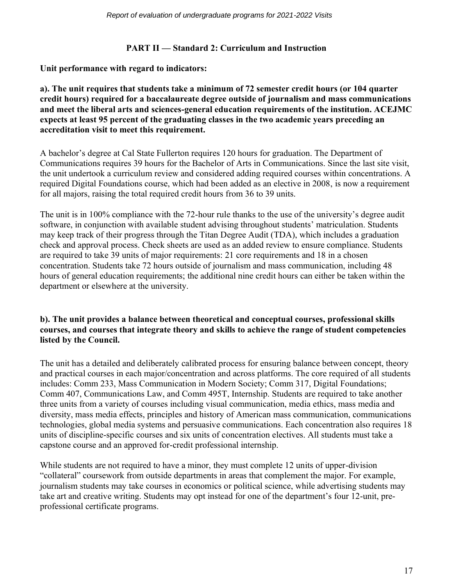#### **PART II — Standard 2: Curriculum and Instruction**

**Unit performance with regard to indicators:**

**a). The unit requires that students take a minimum of 72 semester credit hours (or 104 quarter credit hours) required for a baccalaureate degree outside of journalism and mass communications and meet the liberal arts and sciences-general education requirements of the institution. ACEJMC expects at least 95 percent of the graduating classes in the two academic years preceding an accreditation visit to meet this requirement.**

A bachelor's degree at Cal State Fullerton requires 120 hours for graduation. The Department of Communications requires 39 hours for the Bachelor of Arts in Communications. Since the last site visit, the unit undertook a curriculum review and considered adding required courses within concentrations. A required Digital Foundations course, which had been added as an elective in 2008, is now a requirement for all majors, raising the total required credit hours from 36 to 39 units.

The unit is in 100% compliance with the 72-hour rule thanks to the use of the university's degree audit software, in conjunction with available student advising throughout students' matriculation. Students may keep track of their progress through the Titan Degree Audit (TDA), which includes a graduation check and approval process. Check sheets are used as an added review to ensure compliance. Students are required to take 39 units of major requirements: 21 core requirements and 18 in a chosen concentration. Students take 72 hours outside of journalism and mass communication, including 48 hours of general education requirements; the additional nine credit hours can either be taken within the department or elsewhere at the university.

#### **b). The unit provides a balance between theoretical and conceptual courses, professional skills courses, and courses that integrate theory and skills to achieve the range of student competencies listed by the Council.**

The unit has a detailed and deliberately calibrated process for ensuring balance between concept, theory and practical courses in each major/concentration and across platforms. The core required of all students includes: Comm 233, Mass Communication in Modern Society; Comm 317, Digital Foundations; Comm 407, Communications Law, and Comm 495T, Internship. Students are required to take another three units from a variety of courses including visual communication, media ethics, mass media and diversity, mass media effects, principles and history of American mass communication, communications technologies, global media systems and persuasive communications. Each concentration also requires 18 units of discipline-specific courses and six units of concentration electives. All students must take a capstone course and an approved for-credit professional internship.

While students are not required to have a minor, they must complete 12 units of upper-division "collateral" coursework from outside departments in areas that complement the major. For example, journalism students may take courses in economics or political science, while advertising students may take art and creative writing. Students may opt instead for one of the department's four 12-unit, preprofessional certificate programs.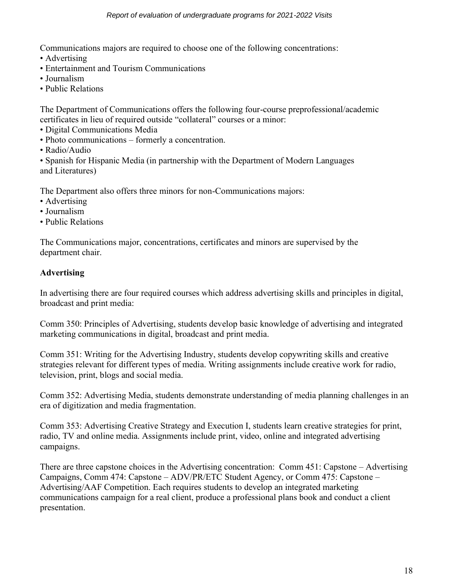Communications majors are required to choose one of the following concentrations:

- Advertising
- Entertainment and Tourism Communications
- Journalism
- Public Relations

The Department of Communications offers the following four-course preprofessional/academic certificates in lieu of required outside "collateral" courses or a minor:

- Digital Communications Media
- Photo communications formerly a concentration.
- Radio/Audio

• Spanish for Hispanic Media (in partnership with the Department of Modern Languages and Literatures)

The Department also offers three minors for non-Communications majors:

- Advertising
- Journalism
- Public Relations

The Communications major, concentrations, certificates and minors are supervised by the department chair.

# **Advertising**

In advertising there are four required courses which address advertising skills and principles in digital, broadcast and print media:

Comm 350: Principles of Advertising, students develop basic knowledge of advertising and integrated marketing communications in digital, broadcast and print media.

Comm 351: Writing for the Advertising Industry, students develop copywriting skills and creative strategies relevant for different types of media. Writing assignments include creative work for radio, television, print, blogs and social media.

Comm 352: Advertising Media, students demonstrate understanding of media planning challenges in an era of digitization and media fragmentation.

Comm 353: Advertising Creative Strategy and Execution I, students learn creative strategies for print, radio, TV and online media. Assignments include print, video, online and integrated advertising campaigns.

There are three capstone choices in the Advertising concentration: Comm 451: Capstone – Advertising Campaigns, Comm 474: Capstone – ADV/PR/ETC Student Agency, or Comm 475: Capstone – Advertising/AAF Competition. Each requires students to develop an integrated marketing communications campaign for a real client, produce a professional plans book and conduct a client presentation.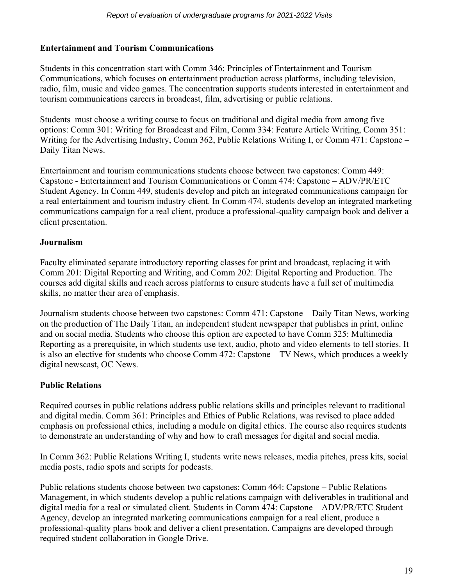# **Entertainment and Tourism Communications**

Students in this concentration start with Comm 346: Principles of Entertainment and Tourism Communications, which focuses on entertainment production across platforms, including television, radio, film, music and video games. The concentration supports students interested in entertainment and tourism communications careers in broadcast, film, advertising or public relations.

Students must choose a writing course to focus on traditional and digital media from among five options: Comm 301: Writing for Broadcast and Film, Comm 334: Feature Article Writing, Comm 351: Writing for the Advertising Industry, Comm 362, Public Relations Writing I, or Comm 471: Capstone – Daily Titan News.

Entertainment and tourism communications students choose between two capstones: Comm 449: Capstone - Entertainment and Tourism Communications or Comm 474: Capstone – ADV/PR/ETC Student Agency. In Comm 449, students develop and pitch an integrated communications campaign for a real entertainment and tourism industry client. In Comm 474, students develop an integrated marketing communications campaign for a real client, produce a professional-quality campaign book and deliver a client presentation.

# **Journalism**

Faculty eliminated separate introductory reporting classes for print and broadcast, replacing it with Comm 201: Digital Reporting and Writing, and Comm 202: Digital Reporting and Production. The courses add digital skills and reach across platforms to ensure students have a full set of multimedia skills, no matter their area of emphasis.

Journalism students choose between two capstones: Comm 471: Capstone – Daily Titan News, working on the production of The Daily Titan, an independent student newspaper that publishes in print, online and on social media. Students who choose this option are expected to have Comm 325: Multimedia Reporting as a prerequisite, in which students use text, audio, photo and video elements to tell stories. It is also an elective for students who choose Comm 472: Capstone – TV News, which produces a weekly digital newscast, OC News.

# **Public Relations**

Required courses in public relations address public relations skills and principles relevant to traditional and digital media. Comm 361: Principles and Ethics of Public Relations, was revised to place added emphasis on professional ethics, including a module on digital ethics. The course also requires students to demonstrate an understanding of why and how to craft messages for digital and social media.

In Comm 362: Public Relations Writing I, students write news releases, media pitches, press kits, social media posts, radio spots and scripts for podcasts.

Public relations students choose between two capstones: Comm 464: Capstone – Public Relations Management, in which students develop a public relations campaign with deliverables in traditional and digital media for a real or simulated client. Students in Comm 474: Capstone – ADV/PR/ETC Student Agency, develop an integrated marketing communications campaign for a real client, produce a professional-quality plans book and deliver a client presentation. Campaigns are developed through required student collaboration in Google Drive.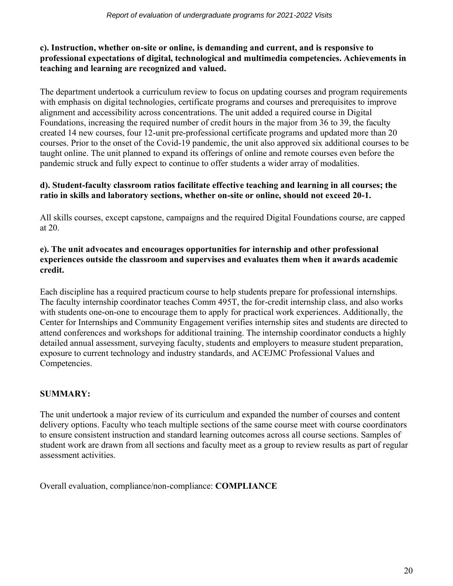### **c). Instruction, whether on-site or online, is demanding and current, and is responsive to professional expectations of digital, technological and multimedia competencies. Achievements in teaching and learning are recognized and valued.**

The department undertook a curriculum review to focus on updating courses and program requirements with emphasis on digital technologies, certificate programs and courses and prerequisites to improve alignment and accessibility across concentrations. The unit added a required course in Digital Foundations, increasing the required number of credit hours in the major from 36 to 39, the faculty created 14 new courses, four 12-unit pre-professional certificate programs and updated more than 20 courses. Prior to the onset of the Covid-19 pandemic, the unit also approved six additional courses to be taught online. The unit planned to expand its offerings of online and remote courses even before the pandemic struck and fully expect to continue to offer students a wider array of modalities.

#### **d). Student-faculty classroom ratios facilitate effective teaching and learning in all courses; the ratio in skills and laboratory sections, whether on-site or online, should not exceed 20-1.**

All skills courses, except capstone, campaigns and the required Digital Foundations course, are capped at 20.

#### **e). The unit advocates and encourages opportunities for internship and other professional experiences outside the classroom and supervises and evaluates them when it awards academic credit.**

Each discipline has a required practicum course to help students prepare for professional internships. The faculty internship coordinator teaches Comm 495T, the for-credit internship class, and also works with students one-on-one to encourage them to apply for practical work experiences. Additionally, the Center for Internships and Community Engagement verifies internship sites and students are directed to attend conferences and workshops for additional training. The internship coordinator conducts a highly detailed annual assessment, surveying faculty, students and employers to measure student preparation, exposure to current technology and industry standards, and ACEJMC Professional Values and Competencies.

# **SUMMARY:**

The unit undertook a major review of its curriculum and expanded the number of courses and content delivery options. Faculty who teach multiple sections of the same course meet with course coordinators to ensure consistent instruction and standard learning outcomes across all course sections. Samples of student work are drawn from all sections and faculty meet as a group to review results as part of regular assessment activities.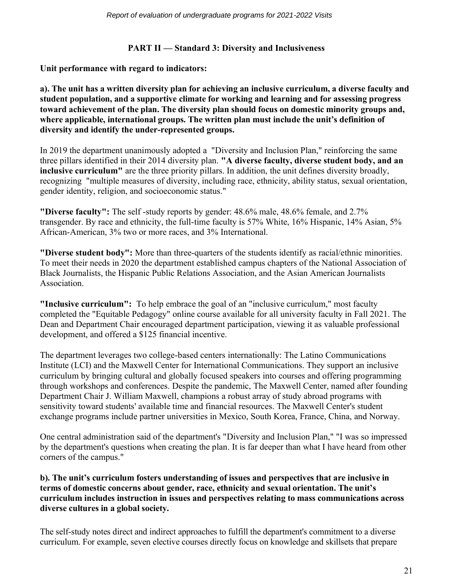#### **PART II — Standard 3: Diversity and Inclusiveness**

**Unit performance with regard to indicators:**

**a). The unit has a written diversity plan for achieving an inclusive curriculum, a diverse faculty and student population, and a supportive climate for working and learning and for assessing progress toward achievement of the plan. The diversity plan should focus on domestic minority groups and, where applicable, international groups. The written plan must include the unit's definition of diversity and identify the under-represented groups.**

In 2019 the department unanimously adopted a "Diversity and Inclusion Plan," reinforcing the same three pillars identified in their 2014 diversity plan. **"A diverse faculty, diverse student body, and an inclusive curriculum"** are the three priority pillars. In addition, the unit defines diversity broadly, recognizing "multiple measures of diversity, including race, ethnicity, ability status, sexual orientation, gender identity, religion, and socioeconomic status."

**"Diverse faculty":** The self -study reports by gender: 48.6% male, 48.6% female, and 2.7% transgender. By race and ethnicity, the full-time faculty is 57% White, 16% Hispanic, 14% Asian, 5% African-American, 3% two or more races, and 3% International.

**"Diverse student body":** More than three-quarters of the students identify as racial/ethnic minorities. To meet their needs in 2020 the department established campus chapters of the National Association of Black Journalists, the Hispanic Public Relations Association, and the Asian American Journalists **Association** 

**"Inclusive curriculum":** To help embrace the goal of an "inclusive curriculum," most faculty completed the "Equitable Pedagogy" online course available for all university faculty in Fall 2021. The Dean and Department Chair encouraged department participation, viewing it as valuable professional development, and offered a \$125 financial incentive.

The department leverages two college-based centers internationally: The Latino Communications Institute (LCI) and the Maxwell Center for International Communications. They support an inclusive curriculum by bringing cultural and globally focused speakers into courses and offering programming through workshops and conferences. Despite the pandemic, The Maxwell Center, named after founding Department Chair J. William Maxwell, champions a robust array of study abroad programs with sensitivity toward students' available time and financial resources. The Maxwell Center's student exchange programs include partner universities in Mexico, South Korea, France, China, and Norway.

One central administration said of the department's "Diversity and Inclusion Plan," "I was so impressed by the department's questions when creating the plan. It is far deeper than what I have heard from other corners of the campus."

#### **b). The unit's curriculum fosters understanding of issues and perspectives that are inclusive in terms of domestic concerns about gender, race, ethnicity and sexual orientation. The unit's curriculum includes instruction in issues and perspectives relating to mass communications across diverse cultures in a global society.**

The self-study notes direct and indirect approaches to fulfill the department's commitment to a diverse curriculum. For example, seven elective courses directly focus on knowledge and skillsets that prepare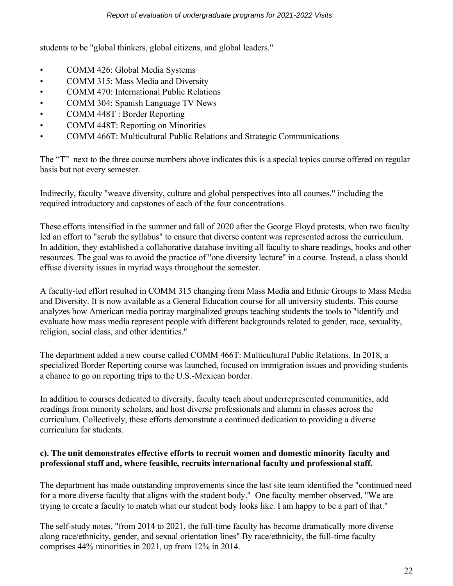students to be "global thinkers, global citizens, and global leaders."

- COMM 426: Global Media Systems
- COMM 315: Mass Media and Diversity
- COMM 470: International Public Relations
- COMM 304: Spanish Language TV News
- COMM 448T : Border Reporting
- COMM 448T: Reporting on Minorities
- COMM 466T: Multicultural Public Relations and Strategic Communications

The "T" next to the three course numbers above indicates this is a special topics course offered on regular basis but not every semester.

Indirectly, faculty "weave diversity, culture and global perspectives into all courses," including the required introductory and capstones of each of the four concentrations.

These efforts intensified in the summer and fall of 2020 after the George Floyd protests, when two faculty led an effort to "scrub the syllabus" to ensure that diverse content was represented across the curriculum. In addition, they established a collaborative database inviting all faculty to share readings, books and other resources. The goal was to avoid the practice of "one diversity lecture" in a course. Instead, a class should effuse diversity issues in myriad ways throughout the semester.

A faculty-led effort resulted in COMM 315 changing from Mass Media and Ethnic Groups to Mass Media and Diversity. It is now available as a General Education course for all university students. This course analyzes how American media portray marginalized groups teaching students the tools to "identify and evaluate how mass media represent people with different backgrounds related to gender, race, sexuality, religion, social class, and other identities."

The department added a new course called COMM 466T: Multicultural Public Relations. In 2018, a specialized Border Reporting course was launched, focused on immigration issues and providing students a chance to go on reporting trips to the U.S.-Mexican border.

In addition to courses dedicated to diversity, faculty teach about underrepresented communities, add readings from minority scholars, and host diverse professionals and alumni in classes across the curriculum. Collectively, these efforts demonstrate a continued dedication to providing a diverse curriculum for students.

#### **c). The unit demonstrates effective efforts to recruit women and domestic minority faculty and professional staff and, where feasible, recruits international faculty and professional staff.**

The department has made outstanding improvements since the last site team identified the "continued need for a more diverse faculty that aligns with the student body." One faculty member observed, "We are trying to create a faculty to match what our student body looks like. I am happy to be a part of that."

The self-study notes, "from 2014 to 2021, the full-time faculty has become dramatically more diverse along race/ethnicity, gender, and sexual orientation lines" By race/ethnicity, the full-time faculty comprises 44% minorities in 2021, up from 12% in 2014.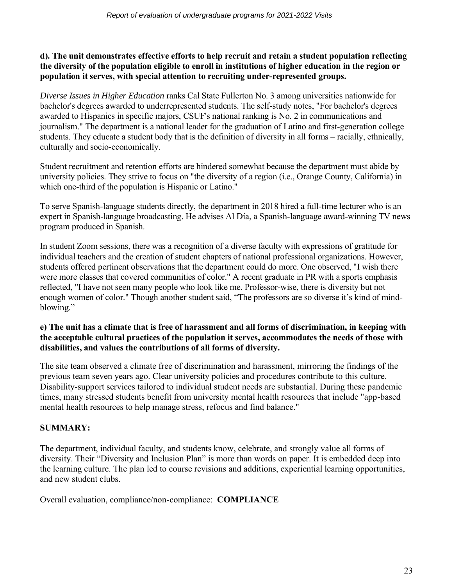#### **d). The unit demonstrates effective efforts to help recruit and retain a student population reflecting the diversity of the population eligible to enroll in institutions of higher education in the region or population it serves, with special attention to recruiting under-represented groups.**

*Diverse Issues in Higher Education* ranks Cal State Fullerton No. 3 among universities nationwide for bachelor's degrees awarded to underrepresented students. The self-study notes, "For bachelor's degrees awarded to Hispanics in specific majors, CSUF's national ranking is No. 2 in communications and journalism." The department is a national leader for the graduation of Latino and first-generation college students. They educate a student body that is the definition of diversity in all forms – racially, ethnically, culturally and socio-economically.

Student recruitment and retention efforts are hindered somewhat because the department must abide by university policies. They strive to focus on "the diversity of a region (i.e., Orange County, California) in which one-third of the population is Hispanic or Latino."

To serve Spanish-language students directly, the department in 2018 hired a full-time lecturer who is an expert in Spanish-language broadcasting. He advises Al Día, a Spanish-language award-winning TV news program produced in Spanish.

In student Zoom sessions, there was a recognition of a diverse faculty with expressions of gratitude for individual teachers and the creation of student chapters of national professional organizations. However, students offered pertinent observations that the department could do more. One observed, "I wish there were more classes that covered communities of color." A recent graduate in PR with a sports emphasis reflected, "I have not seen many people who look like me. Professor-wise, there is diversity but not enough women of color." Though another student said, "The professors are so diverse it's kind of mindblowing."

#### **e) The unit has a climate that is free of harassment and all forms of discrimination, in keeping with the acceptable cultural practices of the population it serves, accommodates the needs of those with disabilities, and values the contributions of all forms of diversity.**

The site team observed a climate free of discrimination and harassment, mirroring the findings of the previous team seven years ago. Clear university policies and procedures contribute to this culture. Disability-support services tailored to individual student needs are substantial. During these pandemic times, many stressed students benefit from university mental health resources that include "app-based mental health resources to help manage stress, refocus and find balance."

# **SUMMARY:**

The department, individual faculty, and students know, celebrate, and strongly value all forms of diversity. Their "Diversity and Inclusion Plan" is more than words on paper. It is embedded deep into the learning culture. The plan led to course revisions and additions, experiential learning opportunities, and new student clubs.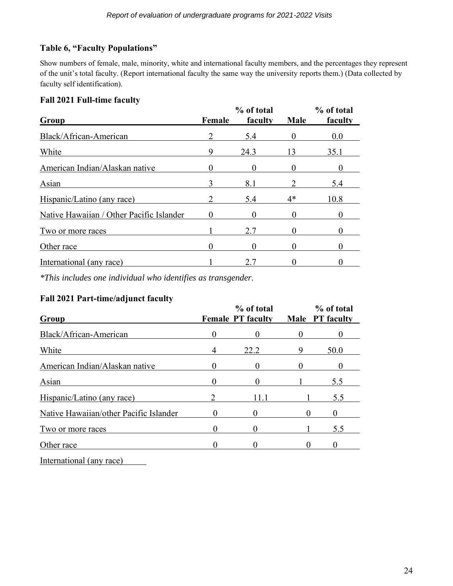# **Table 6, "Faculty Populations"**

Show numbers of female, male, minority, white and international faculty members, and the percentages they represent of the unit's total faculty. (Report international faculty the same way the university reports them.) (Data collected by faculty self identification).

# **Fall 2021 Full-time faculty**

| Group                                    | Female | % of total<br>faculty | Male | % of total<br>faculty |
|------------------------------------------|--------|-----------------------|------|-----------------------|
| Black/African-American                   |        | 5.4                   |      | 0.0                   |
| White                                    | 9      | 24.3                  | 13   | 35.1                  |
| American Indian/Alaskan native           |        |                       |      |                       |
| Asian                                    |        | 8.1                   |      | 5.4                   |
| Hispanic/Latino (any race)               |        | 5.4                   | 4*   | 10.8                  |
| Native Hawaiian / Other Pacific Islander |        | 0                     |      |                       |
| Two or more races                        |        | 27                    |      |                       |
| Other race                               |        |                       |      |                       |
| International (any race)                 |        | 2.7                   |      |                       |

*\*This includes one individual who identifies as transgender.*

# **Fall 2021 Part-time/adjunct faculty**

| Group                                  |          | % of total<br><b>Female PT faculty</b> | % of total<br>Male PT faculty |
|----------------------------------------|----------|----------------------------------------|-------------------------------|
| Black/African-American                 | $\theta$ |                                        | 0                             |
| White                                  | 4        | 22.2                                   | 50.0                          |
| American Indian/Alaskan native         |          |                                        |                               |
| Asian                                  |          |                                        | 5.5                           |
| Hispanic/Latino (any race)             |          | 11 1                                   | 5.5                           |
| Native Hawaiian/other Pacific Islander |          |                                        |                               |
| Two or more races                      |          |                                        | 5.5                           |
| Other race                             |          |                                        |                               |
| International (any race)               |          |                                        |                               |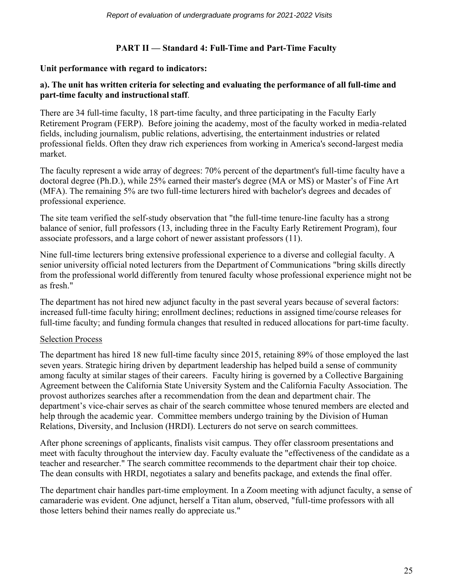# **PART II — Standard 4: Full-Time and Part-Time Faculty**

#### **Unit performance with regard to indicators:**

#### **a). The unit has written criteria for selecting and evaluating the performance of all full-time and part-time faculty and instructional staff**.

There are 34 full-time faculty, 18 part-time faculty, and three participating in the Faculty Early Retirement Program (FERP). Before joining the academy, most of the faculty worked in media-related fields, including journalism, public relations, advertising, the entertainment industries or related professional fields. Often they draw rich experiences from working in America's second-largest media market.

The faculty represent a wide array of degrees: 70% percent of the department's full-time faculty have a doctoral degree (Ph.D.), while 25% earned their master's degree (MA or MS) or Master's of Fine Art (MFA). The remaining 5% are two full-time lecturers hired with bachelor's degrees and decades of professional experience.

The site team verified the self-study observation that "the full-time tenure-line faculty has a strong balance of senior, full professors (13, including three in the Faculty Early Retirement Program), four associate professors, and a large cohort of newer assistant professors (11).

Nine full-time lecturers bring extensive professional experience to a diverse and collegial faculty. A senior university official noted lecturers from the Department of Communications "bring skills directly from the professional world differently from tenured faculty whose professional experience might not be as fresh."

The department has not hired new adjunct faculty in the past several years because of several factors: increased full-time faculty hiring; enrollment declines; reductions in assigned time/course releases for full-time faculty; and funding formula changes that resulted in reduced allocations for part-time faculty.

#### Selection Process

The department has hired 18 new full-time faculty since 2015, retaining 89% of those employed the last seven years. Strategic hiring driven by department leadership has helped build a sense of community among faculty at similar stages of their careers. Faculty hiring is governed by a Collective Bargaining Agreement between the California State University System and the California Faculty Association. The provost authorizes searches after a recommendation from the dean and department chair. The department's vice-chair serves as chair of the search committee whose tenured members are elected and help through the academic year. Committee members undergo training by the Division of Human Relations, Diversity, and Inclusion (HRDI). Lecturers do not serve on search committees.

After phone screenings of applicants, finalists visit campus. They offer classroom presentations and meet with faculty throughout the interview day. Faculty evaluate the "effectiveness of the candidate as a teacher and researcher." The search committee recommends to the department chair their top choice. The dean consults with HRDI, negotiates a salary and benefits package, and extends the final offer.

The department chair handles part-time employment. In a Zoom meeting with adjunct faculty, a sense of camaraderie was evident. One adjunct, herself a Titan alum, observed, "full-time professors with all those letters behind their names really do appreciate us."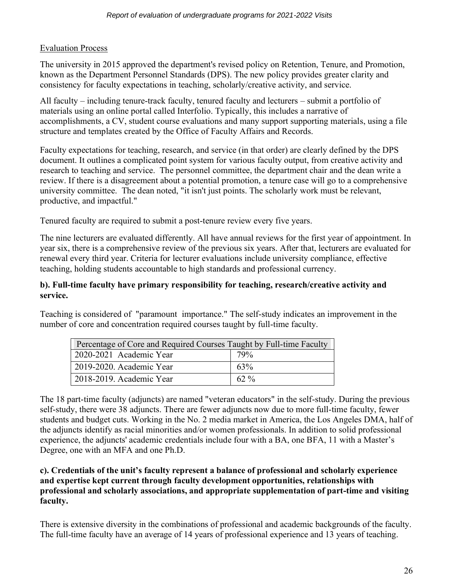#### Evaluation Process

The university in 2015 approved the department's revised policy on Retention, Tenure, and Promotion, known as the Department Personnel Standards (DPS). The new policy provides greater clarity and consistency for faculty expectations in teaching, scholarly/creative activity, and service.

All faculty – including tenure-track faculty, tenured faculty and lecturers – submit a portfolio of materials using an online portal called Interfolio. Typically, this includes a narrative of accomplishments, a CV, student course evaluations and many support supporting materials, using a file structure and templates created by the Office of Faculty Affairs and Records.

Faculty expectations for teaching, research, and service (in that order) are clearly defined by the DPS document. It outlines a complicated point system for various faculty output, from creative activity and research to teaching and service. The personnel committee, the department chair and the dean write a review. If there is a disagreement about a potential promotion, a tenure case will go to a comprehensive university committee. The dean noted, "it isn't just points. The scholarly work must be relevant, productive, and impactful."

Tenured faculty are required to submit a post-tenure review every five years.

The nine lecturers are evaluated differently. All have annual reviews for the first year of appointment. In year six, there is a comprehensive review of the previous six years. After that, lecturers are evaluated for renewal every third year. Criteria for lecturer evaluations include university compliance, effective teaching, holding students accountable to high standards and professional currency.

#### **b). Full-time faculty have primary responsibility for teaching, research/creative activity and service.**

Teaching is considered of "paramount importance." The self-study indicates an improvement in the number of core and concentration required courses taught by full-time faculty.

| Percentage of Core and Required Courses Taught by Full-time Faculty |         |  |  |  |
|---------------------------------------------------------------------|---------|--|--|--|
| 2020-2021 Academic Year                                             | 79%     |  |  |  |
| 2019-2020. Academic Year                                            | 63%     |  |  |  |
| 2018-2019. Academic Year                                            | $62 \%$ |  |  |  |

The 18 part-time faculty (adjuncts) are named "veteran educators" in the self-study. During the previous self-study, there were 38 adjuncts. There are fewer adjuncts now due to more full-time faculty, fewer students and budget cuts. Working in the No. 2 media market in America, the Los Angeles DMA, half of the adjuncts identify as racial minorities and/or women professionals. In addition to solid professional experience, the adjuncts' academic credentials include four with a BA, one BFA, 11 with a Master's Degree, one with an MFA and one Ph.D.

#### **c). Credentials of the unit's faculty represent a balance of professional and scholarly experience and expertise kept current through faculty development opportunities, relationships with professional and scholarly associations, and appropriate supplementation of part-time and visiting faculty.**

There is extensive diversity in the combinations of professional and academic backgrounds of the faculty. The full-time faculty have an average of 14 years of professional experience and 13 years of teaching.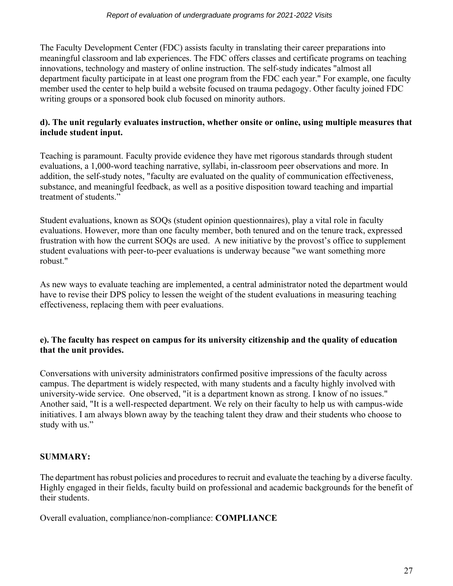The Faculty Development Center (FDC) assists faculty in translating their career preparations into meaningful classroom and lab experiences. The FDC offers classes and certificate programs on teaching innovations, technology and mastery of online instruction. The self-study indicates "almost all department faculty participate in at least one program from the FDC each year." For example, one faculty member used the center to help build a website focused on trauma pedagogy. Other faculty joined FDC writing groups or a sponsored book club focused on minority authors.

# **d). The unit regularly evaluates instruction, whether onsite or online, using multiple measures that include student input.**

Teaching is paramount. Faculty provide evidence they have met rigorous standards through student evaluations, a 1,000-word teaching narrative, syllabi, in-classroom peer observations and more. In addition, the self-study notes, "faculty are evaluated on the quality of communication effectiveness, substance, and meaningful feedback, as well as a positive disposition toward teaching and impartial treatment of students."

Student evaluations, known as SOQs (student opinion questionnaires), play a vital role in faculty evaluations. However, more than one faculty member, both tenured and on the tenure track, expressed frustration with how the current SOQs are used. A new initiative by the provost's office to supplement student evaluations with peer-to-peer evaluations is underway because "we want something more robust."

As new ways to evaluate teaching are implemented, a central administrator noted the department would have to revise their DPS policy to lessen the weight of the student evaluations in measuring teaching effectiveness, replacing them with peer evaluations.

#### **e). The faculty has respect on campus for its university citizenship and the quality of education that the unit provides.**

Conversations with university administrators confirmed positive impressions of the faculty across campus. The department is widely respected, with many students and a faculty highly involved with university-wide service. One observed, "it is a department known as strong. I know of no issues." Another said, "It is a well-respected department. We rely on their faculty to help us with campus-wide initiatives. I am always blown away by the teaching talent they draw and their students who choose to study with us."

# **SUMMARY:**

The department has robust policies and procedures to recruit and evaluate the teaching by a diverse faculty. Highly engaged in their fields, faculty build on professional and academic backgrounds for the benefit of their students.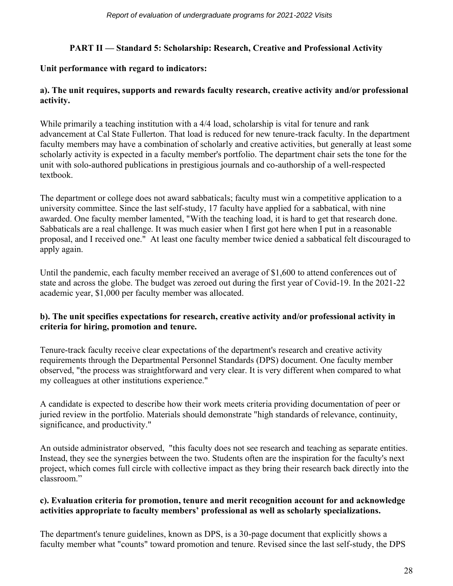# **PART II — Standard 5: Scholarship: Research, Creative and Professional Activity**

# **Unit performance with regard to indicators:**

# **a). The unit requires, supports and rewards faculty research, creative activity and/or professional activity.**

While primarily a teaching institution with a 4/4 load, scholarship is vital for tenure and rank advancement at Cal State Fullerton. That load is reduced for new tenure-track faculty. In the department faculty members may have a combination of scholarly and creative activities, but generally at least some scholarly activity is expected in a faculty member's portfolio. The department chair sets the tone for the unit with solo-authored publications in prestigious journals and co-authorship of a well-respected textbook.

The department or college does not award sabbaticals; faculty must win a competitive application to a university committee. Since the last self-study, 17 faculty have applied for a sabbatical, with nine awarded. One faculty member lamented, "With the teaching load, it is hard to get that research done. Sabbaticals are a real challenge. It was much easier when I first got here when I put in a reasonable proposal, and I received one." At least one faculty member twice denied a sabbatical felt discouraged to apply again.

Until the pandemic, each faculty member received an average of \$1,600 to attend conferences out of state and across the globe. The budget was zeroed out during the first year of Covid-19. In the 2021-22 academic year, \$1,000 per faculty member was allocated.

# **b). The unit specifies expectations for research, creative activity and/or professional activity in criteria for hiring, promotion and tenure.**

Tenure-track faculty receive clear expectations of the department's research and creative activity requirements through the Departmental Personnel Standards (DPS) document. One faculty member observed, "the process was straightforward and very clear. It is very different when compared to what my colleagues at other institutions experience."

A candidate is expected to describe how their work meets criteria providing documentation of peer or juried review in the portfolio. Materials should demonstrate "high standards of relevance, continuity, significance, and productivity."

An outside administrator observed, "this faculty does not see research and teaching as separate entities. Instead, they see the synergies between the two. Students often are the inspiration for the faculty's next project, which comes full circle with collective impact as they bring their research back directly into the classroom."

# **c). Evaluation criteria for promotion, tenure and merit recognition account for and acknowledge activities appropriate to faculty members' professional as well as scholarly specializations.**

The department's tenure guidelines, known as DPS, is a 30-page document that explicitly shows a faculty member what "counts" toward promotion and tenure. Revised since the last self-study, the DPS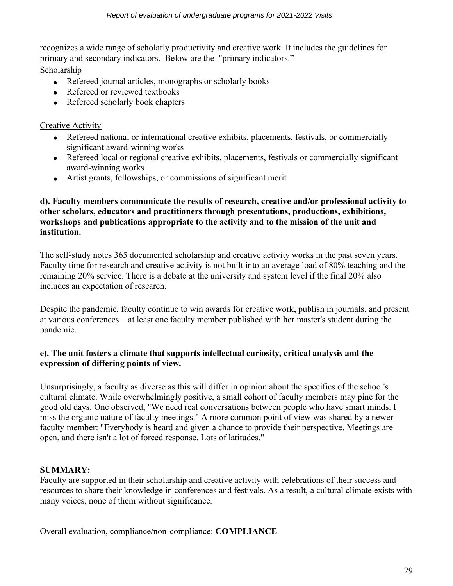recognizes a wide range of scholarly productivity and creative work. It includes the guidelines for primary and secondary indicators. Below are the "primary indicators."

Scholarship

- Refereed journal articles, monographs or scholarly books
- Refereed or reviewed textbooks
- Refereed scholarly book chapters

# Creative Activity

- Refereed national or international creative exhibits, placements, festivals, or commercially significant award-winning works
- Refereed local or regional creative exhibits, placements, festivals or commercially significant award-winning works
- Artist grants, fellowships, or commissions of significant merit

# **d). Faculty members communicate the results of research, creative and/or professional activity to other scholars, educators and practitioners through presentations, productions, exhibitions, workshops and publications appropriate to the activity and to the mission of the unit and institution.**

The self-study notes 365 documented scholarship and creative activity works in the past seven years. Faculty time for research and creative activity is not built into an average load of 80% teaching and the remaining 20% service. There is a debate at the university and system level if the final 20% also includes an expectation of research.

Despite the pandemic, faculty continue to win awards for creative work, publish in journals, and present at various conferences—at least one faculty member published with her master's student during the pandemic.

# **e). The unit fosters a climate that supports intellectual curiosity, critical analysis and the expression of differing points of view.**

Unsurprisingly, a faculty as diverse as this will differ in opinion about the specifics of the school's cultural climate. While overwhelmingly positive, a small cohort of faculty members may pine for the good old days. One observed, "We need real conversations between people who have smart minds. I miss the organic nature of faculty meetings." A more common point of view was shared by a newer faculty member: "Everybody is heard and given a chance to provide their perspective. Meetings are open, and there isn't a lot of forced response. Lots of latitudes."

# **SUMMARY:**

Faculty are supported in their scholarship and creative activity with celebrations of their success and resources to share their knowledge in conferences and festivals. As a result, a cultural climate exists with many voices, none of them without significance.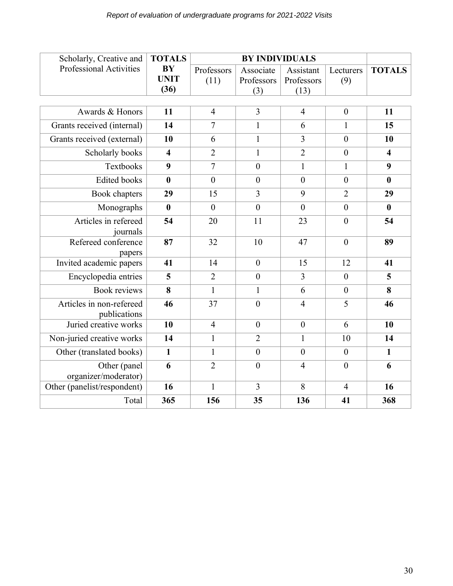| Scholarly, Creative and                  | <b>TOTALS</b>  | <b>BY INDIVIDUALS</b> |                  |                |                  |                         |
|------------------------------------------|----------------|-----------------------|------------------|----------------|------------------|-------------------------|
| <b>Professional Activities</b>           | <b>BY</b>      | Professors            | Associate        | Assistant      | Lecturers        | <b>TOTALS</b>           |
|                                          | <b>UNIT</b>    | (11)                  | Professors       | Professors     | (9)              |                         |
|                                          | (36)           |                       | (3)              | (13)           |                  |                         |
|                                          |                |                       |                  |                |                  |                         |
| Awards & Honors                          | 11             | $\overline{4}$        | $\overline{3}$   | $\overline{4}$ | $\boldsymbol{0}$ | 11                      |
| Grants received (internal)               | 14             | $\overline{7}$        | $\mathbf{1}$     | 6              | $\mathbf{1}$     | 15                      |
| Grants received (external)               | 10             | 6                     | $\mathbf{1}$     | $\overline{3}$ | $\overline{0}$   | 10                      |
| Scholarly books                          | $\overline{4}$ | $\overline{2}$        | $\mathbf{1}$     | $\overline{2}$ | $\boldsymbol{0}$ | $\overline{\mathbf{4}}$ |
| Textbooks                                | 9              | $\overline{7}$        | $\mathbf{0}$     | $\mathbf{1}$   | $\mathbf{1}$     | 9                       |
| <b>Edited books</b>                      | $\mathbf{0}$   | $\theta$              | $\overline{0}$   | $\overline{0}$ | $\overline{0}$   | $\bf{0}$                |
| Book chapters                            | 29             | 15                    | $\overline{3}$   | 9              | $\overline{2}$   | 29                      |
| Monographs                               | $\bf{0}$       | $\theta$              | $\overline{0}$   | $\overline{0}$ | $\overline{0}$   | $\bf{0}$                |
| Articles in refereed                     | 54             | 20                    | 11               | 23             | $\overline{0}$   | 54                      |
| journals                                 |                |                       |                  |                |                  |                         |
| Refereed conference<br>papers            | 87             | 32                    | 10               | 47             | $\overline{0}$   | 89                      |
| Invited academic papers                  | 41             | 14                    | $\boldsymbol{0}$ | 15             | 12               | 41                      |
| Encyclopedia entries                     | 5              | $\overline{2}$        | $\mathbf{0}$     | $\overline{3}$ | $\theta$         | 5                       |
| <b>Book reviews</b>                      | 8              | $\mathbf{1}$          | $\mathbf{1}$     | 6              | $\boldsymbol{0}$ | 8                       |
| Articles in non-refereed<br>publications | 46             | 37                    | $\boldsymbol{0}$ | $\overline{4}$ | 5                | 46                      |
| Juried creative works                    | 10             | $\overline{4}$        | $\overline{0}$   | $\overline{0}$ | 6                | 10                      |
| Non-juried creative works                | 14             | $\mathbf{1}$          | $\overline{2}$   | $\mathbf{1}$   | 10               | 14                      |
| Other (translated books)                 | $\mathbf{1}$   | $\mathbf{1}$          | $\mathbf{0}$     | $\overline{0}$ | $\boldsymbol{0}$ | $\mathbf{1}$            |
| Other (panel<br>organizer/moderator)     | 6              | $\overline{2}$        | $\overline{0}$   | $\overline{4}$ | $\overline{0}$   | 6                       |
| Other (panelist/respondent)              | 16             | $\mathbf{1}$          | $\overline{3}$   | 8              | $\overline{4}$   | 16                      |
| Total                                    | 365            | 156                   | 35               | 136            | 41               | 368                     |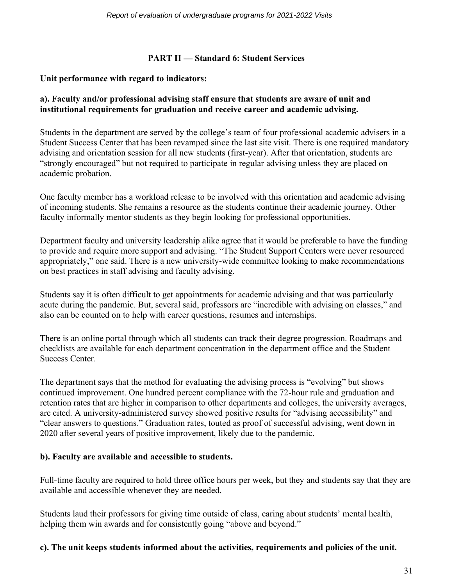#### **PART II — Standard 6: Student Services**

#### **Unit performance with regard to indicators:**

# **a). Faculty and/or professional advising staff ensure that students are aware of unit and institutional requirements for graduation and receive career and academic advising.**

Students in the department are served by the college's team of four professional academic advisers in a Student Success Center that has been revamped since the last site visit. There is one required mandatory advising and orientation session for all new students (first-year). After that orientation, students are "strongly encouraged" but not required to participate in regular advising unless they are placed on academic probation.

One faculty member has a workload release to be involved with this orientation and academic advising of incoming students. She remains a resource as the students continue their academic journey. Other faculty informally mentor students as they begin looking for professional opportunities.

Department faculty and university leadership alike agree that it would be preferable to have the funding to provide and require more support and advising. "The Student Support Centers were never resourced appropriately," one said. There is a new university-wide committee looking to make recommendations on best practices in staff advising and faculty advising.

Students say it is often difficult to get appointments for academic advising and that was particularly acute during the pandemic. But, several said, professors are "incredible with advising on classes," and also can be counted on to help with career questions, resumes and internships.

There is an online portal through which all students can track their degree progression. Roadmaps and checklists are available for each department concentration in the department office and the Student Success Center.

The department says that the method for evaluating the advising process is "evolving" but shows continued improvement. One hundred percent compliance with the 72-hour rule and graduation and retention rates that are higher in comparison to other departments and colleges, the university averages, are cited. A university-administered survey showed positive results for "advising accessibility" and "clear answers to questions." Graduation rates, touted as proof of successful advising, went down in 2020 after several years of positive improvement, likely due to the pandemic.

#### **b). Faculty are available and accessible to students.**

Full-time faculty are required to hold three office hours per week, but they and students say that they are available and accessible whenever they are needed.

Students laud their professors for giving time outside of class, caring about students' mental health, helping them win awards and for consistently going "above and beyond."

#### **c). The unit keeps students informed about the activities, requirements and policies of the unit.**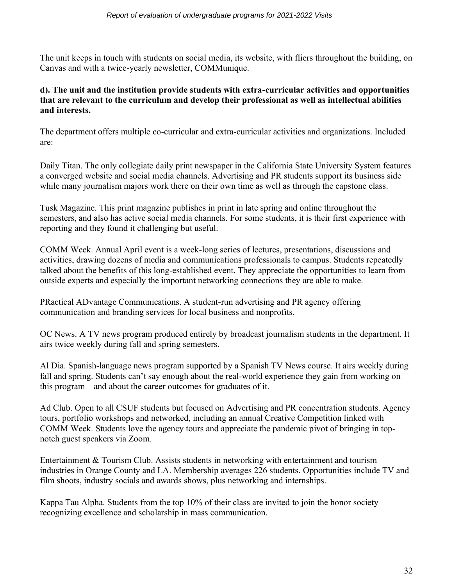The unit keeps in touch with students on social media, its website, with fliers throughout the building, on Canvas and with a twice-yearly newsletter, COMMunique.

#### **d). The unit and the institution provide students with extra-curricular activities and opportunities that are relevant to the curriculum and develop their professional as well as intellectual abilities and interests.**

The department offers multiple co-curricular and extra-curricular activities and organizations. Included are:

Daily Titan. The only collegiate daily print newspaper in the California State University System features a converged website and social media channels. Advertising and PR students support its business side while many journalism majors work there on their own time as well as through the capstone class.

Tusk Magazine. This print magazine publishes in print in late spring and online throughout the semesters, and also has active social media channels. For some students, it is their first experience with reporting and they found it challenging but useful.

COMM Week. Annual April event is a week-long series of lectures, presentations, discussions and activities, drawing dozens of media and communications professionals to campus. Students repeatedly talked about the benefits of this long-established event. They appreciate the opportunities to learn from outside experts and especially the important networking connections they are able to make.

PRactical ADvantage Communications. A student-run advertising and PR agency offering communication and branding services for local business and nonprofits.

OC News. A TV news program produced entirely by broadcast journalism students in the department. It airs twice weekly during fall and spring semesters.

Al Dia. Spanish-language news program supported by a Spanish TV News course. It airs weekly during fall and spring. Students can't say enough about the real-world experience they gain from working on this program – and about the career outcomes for graduates of it.

Ad Club. Open to all CSUF students but focused on Advertising and PR concentration students. Agency tours, portfolio workshops and networked, including an annual Creative Competition linked with COMM Week. Students love the agency tours and appreciate the pandemic pivot of bringing in topnotch guest speakers via Zoom.

Entertainment & Tourism Club. Assists students in networking with entertainment and tourism industries in Orange County and LA. Membership averages 226 students. Opportunities include TV and film shoots, industry socials and awards shows, plus networking and internships.

Kappa Tau Alpha. Students from the top 10% of their class are invited to join the honor society recognizing excellence and scholarship in mass communication.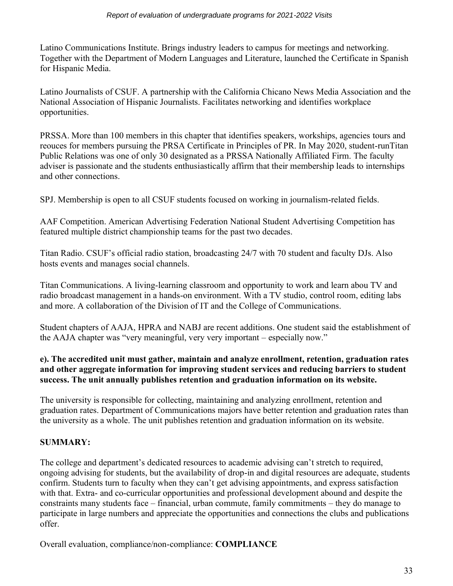Latino Communications Institute. Brings industry leaders to campus for meetings and networking. Together with the Department of Modern Languages and Literature, launched the Certificate in Spanish for Hispanic Media.

Latino Journalists of CSUF. A partnership with the California Chicano News Media Association and the National Association of Hispanic Journalists. Facilitates networking and identifies workplace opportunities.

PRSSA. More than 100 members in this chapter that identifies speakers, workships, agencies tours and reouces for members pursuing the PRSA Certificate in Principles of PR. In May 2020, student-runTitan Public Relations was one of only 30 designated as a PRSSA Nationally Affiliated Firm. The faculty adviser is passionate and the students enthusiastically affirm that their membership leads to internships and other connections.

SPJ. Membership is open to all CSUF students focused on working in journalism-related fields.

AAF Competition. American Advertising Federation National Student Advertising Competition has featured multiple district championship teams for the past two decades.

Titan Radio. CSUF's official radio station, broadcasting 24/7 with 70 student and faculty DJs. Also hosts events and manages social channels.

Titan Communications. A living-learning classroom and opportunity to work and learn abou TV and radio broadcast management in a hands-on environment. With a TV studio, control room, editing labs and more. A collaboration of the Division of IT and the College of Communications.

Student chapters of AAJA, HPRA and NABJ are recent additions. One student said the establishment of the AAJA chapter was "very meaningful, very very important – especially now."

#### **e). The accredited unit must gather, maintain and analyze enrollment, retention, graduation rates and other aggregate information for improving student services and reducing barriers to student success. The unit annually publishes retention and graduation information on its website.**

The university is responsible for collecting, maintaining and analyzing enrollment, retention and graduation rates. Department of Communications majors have better retention and graduation rates than the university as a whole. The unit publishes retention and graduation information on its website.

# **SUMMARY:**

The college and department's dedicated resources to academic advising can't stretch to required, ongoing advising for students, but the availability of drop-in and digital resources are adequate, students confirm. Students turn to faculty when they can't get advising appointments, and express satisfaction with that. Extra- and co-curricular opportunities and professional development abound and despite the constraints many students face – financial, urban commute, family commitments – they do manage to participate in large numbers and appreciate the opportunities and connections the clubs and publications offer.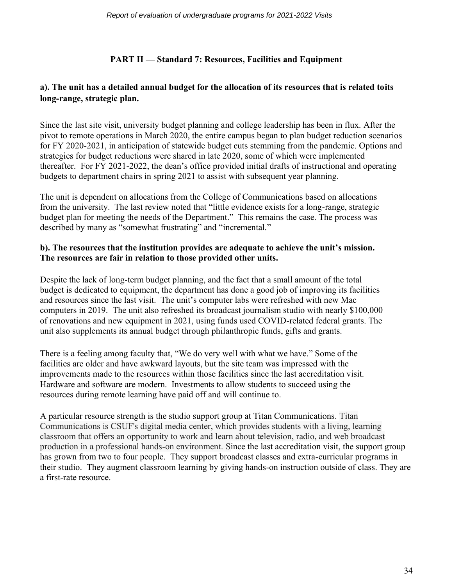# **PART II — Standard 7: Resources, Facilities and Equipment**

# **a). The unit has a detailed annual budget for the allocation of its resources that is related toits long-range, strategic plan.**

Since the last site visit, university budget planning and college leadership has been in flux. After the pivot to remote operations in March 2020, the entire campus began to plan budget reduction scenarios for FY 2020-2021, in anticipation of statewide budget cuts stemming from the pandemic. Options and strategies for budget reductions were shared in late 2020, some of which were implemented thereafter. For FY 2021-2022, the dean's office provided initial drafts of instructional and operating budgets to department chairs in spring 2021 to assist with subsequent year planning.

The unit is dependent on allocations from the College of Communications based on allocations from the university. The last review noted that "little evidence exists for a long-range, strategic budget plan for meeting the needs of the Department." This remains the case. The process was described by many as "somewhat frustrating" and "incremental."

#### **b). The resources that the institution provides are adequate to achieve the unit's mission. The resources are fair in relation to those provided other units.**

Despite the lack of long-term budget planning, and the fact that a small amount of the total budget is dedicated to equipment, the department has done a good job of improving its facilities and resources since the last visit. The unit's computer labs were refreshed with new Mac computers in 2019. The unit also refreshed its broadcast journalism studio with nearly \$100,000 of renovations and new equipment in 2021, using funds used COVID-related federal grants. The unit also supplements its annual budget through philanthropic funds, gifts and grants.

There is a feeling among faculty that, "We do very well with what we have." Some of the facilities are older and have awkward layouts, but the site team was impressed with the improvements made to the resources within those facilities since the last accreditation visit. Hardware and software are modern. Investments to allow students to succeed using the resources during remote learning have paid off and will continue to.

A particular resource strength is the studio support group at Titan Communications. Titan Communications is CSUF's digital media center, which provides students with a living, learning classroom that offers an opportunity to work and learn about television, radio, and web broadcast production in a professional hands-on environment. Since the last accreditation visit, the support group has grown from two to four people. They support broadcast classes and extra-curricular programs in their studio. They augment classroom learning by giving hands-on instruction outside of class. They are a first-rate resource.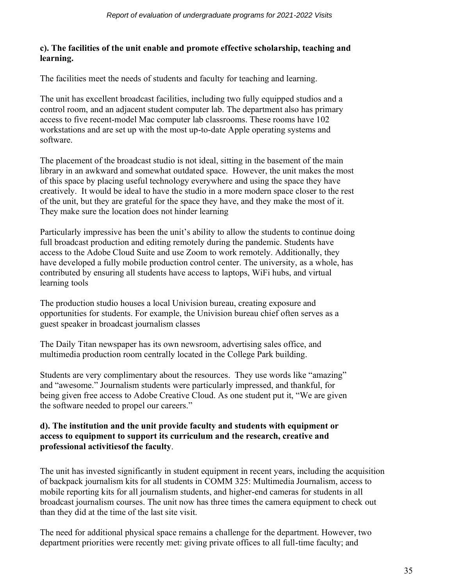#### **c). The facilities of the unit enable and promote effective scholarship, teaching and learning.**

The facilities meet the needs of students and faculty for teaching and learning.

The unit has excellent broadcast facilities, including two fully equipped studios and a control room, and an adjacent student computer lab. The department also has primary access to five recent-model Mac computer lab classrooms. These rooms have 102 workstations and are set up with the most up-to-date Apple operating systems and software.

The placement of the broadcast studio is not ideal, sitting in the basement of the main library in an awkward and somewhat outdated space. However, the unit makes the most of this space by placing useful technology everywhere and using the space they have creatively. It would be ideal to have the studio in a more modern space closer to the rest of the unit, but they are grateful for the space they have, and they make the most of it. They make sure the location does not hinder learning

Particularly impressive has been the unit's ability to allow the students to continue doing full broadcast production and editing remotely during the pandemic. Students have access to the Adobe Cloud Suite and use Zoom to work remotely. Additionally, they have developed a fully mobile production control center. The university, as a whole, has contributed by ensuring all students have access to laptops, WiFi hubs, and virtual learning tools

The production studio houses a local Univision bureau, creating exposure and opportunities for students. For example, the Univision bureau chief often serves as a guest speaker in broadcast journalism classes

The Daily Titan newspaper has its own newsroom, advertising sales office, and multimedia production room centrally located in the College Park building.

Students are very complimentary about the resources. They use words like "amazing" and "awesome." Journalism students were particularly impressed, and thankful, for being given free access to Adobe Creative Cloud. As one student put it, "We are given the software needed to propel our careers."

#### **d). The institution and the unit provide faculty and students with equipment or access to equipment to support its curriculum and the research, creative and professional activitiesof the faculty**.

The unit has invested significantly in student equipment in recent years, including the acquisition of backpack journalism kits for all students in COMM 325: Multimedia Journalism, access to mobile reporting kits for all journalism students, and higher-end cameras for students in all broadcast journalism courses. The unit now has three times the camera equipment to check out than they did at the time of the last site visit.

The need for additional physical space remains a challenge for the department. However, two department priorities were recently met: giving private offices to all full-time faculty; and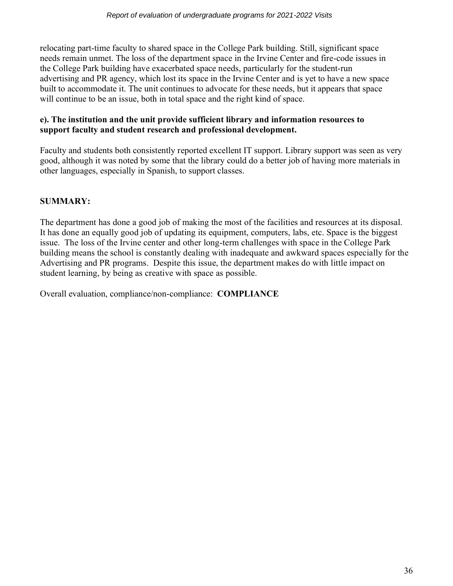relocating part-time faculty to shared space in the College Park building. Still, significant space needs remain unmet. The loss of the department space in the Irvine Center and fire-code issues in the College Park building have exacerbated space needs, particularly for the student-run advertising and PR agency, which lost its space in the Irvine Center and is yet to have a new space built to accommodate it. The unit continues to advocate for these needs, but it appears that space will continue to be an issue, both in total space and the right kind of space.

#### **e). The institution and the unit provide sufficient library and information resources to support faculty and student research and professional development.**

Faculty and students both consistently reported excellent IT support. Library support was seen as very good, although it was noted by some that the library could do a better job of having more materials in other languages, especially in Spanish, to support classes.

# **SUMMARY:**

The department has done a good job of making the most of the facilities and resources at its disposal. It has done an equally good job of updating its equipment, computers, labs, etc. Space is the biggest issue. The loss of the Irvine center and other long-term challenges with space in the College Park building means the school is constantly dealing with inadequate and awkward spaces especially for the Advertising and PR programs. Despite this issue, the department makes do with little impact on student learning, by being as creative with space as possible.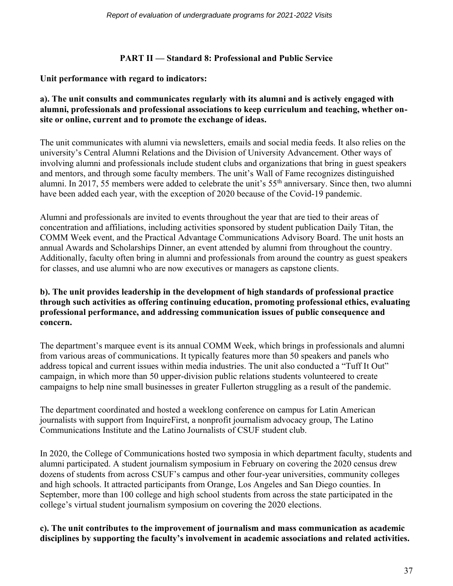#### **PART II — Standard 8: Professional and Public Service**

#### **Unit performance with regard to indicators:**

#### **a). The unit consults and communicates regularly with its alumni and is actively engaged with alumni, professionals and professional associations to keep curriculum and teaching, whether onsite or online, current and to promote the exchange of ideas.**

The unit communicates with alumni via newsletters, emails and social media feeds. It also relies on the university's Central Alumni Relations and the Division of University Advancement. Other ways of involving alumni and professionals include student clubs and organizations that bring in guest speakers and mentors, and through some faculty members. The unit's Wall of Fame recognizes distinguished alumni. In 2017, 55 members were added to celebrate the unit's 55th anniversary. Since then, two alumni have been added each year, with the exception of 2020 because of the Covid-19 pandemic.

Alumni and professionals are invited to events throughout the year that are tied to their areas of concentration and affiliations, including activities sponsored by student publication Daily Titan, the COMM Week event, and the Practical Advantage Communications Advisory Board. The unit hosts an annual Awards and Scholarships Dinner, an event attended by alumni from throughout the country. Additionally, faculty often bring in alumni and professionals from around the country as guest speakers for classes, and use alumni who are now executives or managers as capstone clients.

#### **b). The unit provides leadership in the development of high standards of professional practice through such activities as offering continuing education, promoting professional ethics, evaluating professional performance, and addressing communication issues of public consequence and concern.**

The department's marquee event is its annual COMM Week, which brings in professionals and alumni from various areas of communications. It typically features more than 50 speakers and panels who address topical and current issues within media industries. The unit also conducted a "Tuff It Out" campaign, in which more than 50 upper-division public relations students volunteered to create campaigns to help nine small businesses in greater Fullerton struggling as a result of the pandemic.

The department coordinated and hosted a weeklong conference on campus for Latin American journalists with support from InquireFirst, a nonprofit journalism advocacy group, The Latino Communications Institute and the Latino Journalists of CSUF student club.

In 2020, the College of Communications hosted two symposia in which department faculty, students and alumni participated. A student journalism symposium in February on covering the 2020 census drew dozens of students from across CSUF's campus and other four-year universities, community colleges and high schools. It attracted participants from Orange, Los Angeles and San Diego counties. In September, more than 100 college and high school students from across the state participated in the college's virtual student journalism symposium on covering the 2020 elections.

#### **c). The unit contributes to the improvement of journalism and mass communication as academic disciplines by supporting the faculty's involvement in academic associations and related activities.**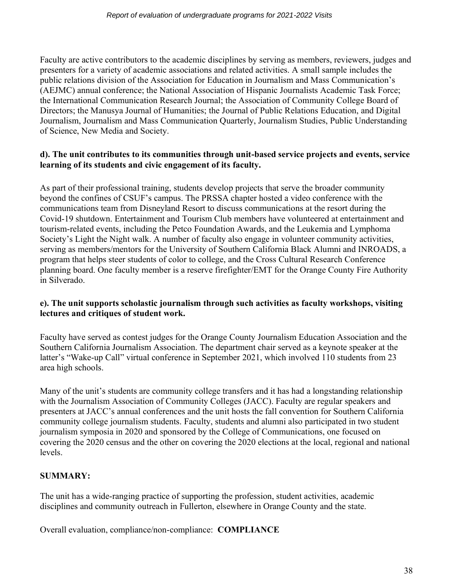Faculty are active contributors to the academic disciplines by serving as members, reviewers, judges and presenters for a variety of academic associations and related activities. A small sample includes the public relations division of the Association for Education in Journalism and Mass Communication's (AEJMC) annual conference; the National Association of Hispanic Journalists Academic Task Force; the International Communication Research Journal; the Association of Community College Board of Directors; the Manusya Journal of Humanities; the Journal of Public Relations Education, and Digital Journalism, Journalism and Mass Communication Quarterly, Journalism Studies, Public Understanding of Science, New Media and Society.

# **d). The unit contributes to its communities through unit-based service projects and events, service learning of its students and civic engagement of its faculty.**

As part of their professional training, students develop projects that serve the broader community beyond the confines of CSUF's campus. The PRSSA chapter hosted a video conference with the communications team from Disneyland Resort to discuss communications at the resort during the Covid-19 shutdown. Entertainment and Tourism Club members have volunteered at entertainment and tourism-related events, including the Petco Foundation Awards, and the Leukemia and Lymphoma Society's Light the Night walk. A number of faculty also engage in volunteer community activities, serving as members/mentors for the University of Southern California Black Alumni and INROADS, a program that helps steer students of color to college, and the Cross Cultural Research Conference planning board. One faculty member is a reserve firefighter/EMT for the Orange County Fire Authority in Silverado.

#### **e). The unit supports scholastic journalism through such activities as faculty workshops, visiting lectures and critiques of student work.**

Faculty have served as contest judges for the Orange County Journalism Education Association and the Southern California Journalism Association. The department chair served as a keynote speaker at the latter's "Wake-up Call" virtual conference in September 2021, which involved 110 students from 23 area high schools.

Many of the unit's students are community college transfers and it has had a longstanding relationship with the Journalism Association of Community Colleges (JACC). Faculty are regular speakers and presenters at JACC's annual conferences and the unit hosts the fall convention for Southern California community college journalism students. Faculty, students and alumni also participated in two student journalism symposia in 2020 and sponsored by the College of Communications, one focused on covering the 2020 census and the other on covering the 2020 elections at the local, regional and national levels.

# **SUMMARY:**

The unit has a wide-ranging practice of supporting the profession, student activities, academic disciplines and community outreach in Fullerton, elsewhere in Orange County and the state.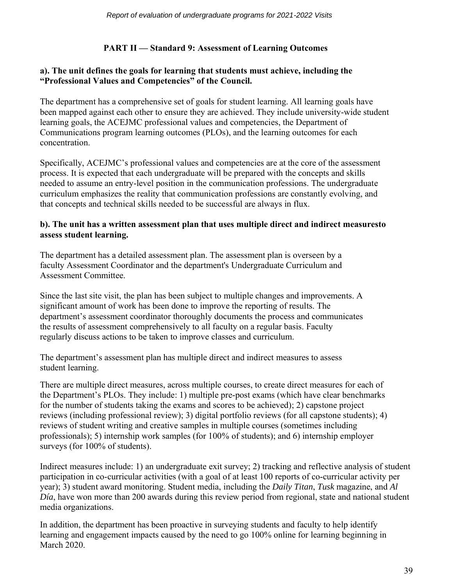# **PART II — Standard 9: Assessment of Learning Outcomes**

#### **a). The unit defines the goals for learning that students must achieve, including the "Professional Values and Competencies" of the Council.**

The department has a comprehensive set of goals for student learning. All learning goals have been mapped against each other to ensure they are achieved. They include university-wide student learning goals, the ACEJMC professional values and competencies, the Department of Communications program learning outcomes (PLOs), and the learning outcomes for each concentration.

Specifically, ACEJMC's professional values and competencies are at the core of the assessment process. It is expected that each undergraduate will be prepared with the concepts and skills needed to assume an entry-level position in the communication professions. The undergraduate curriculum emphasizes the reality that communication professions are constantly evolving, and that concepts and technical skills needed to be successful are always in flux.

#### **b). The unit has a written assessment plan that uses multiple direct and indirect measuresto assess student learning.**

The department has a detailed assessment plan. The assessment plan is overseen by a faculty Assessment Coordinator and the department's Undergraduate Curriculum and Assessment Committee.

Since the last site visit, the plan has been subject to multiple changes and improvements. A significant amount of work has been done to improve the reporting of results. The department's assessment coordinator thoroughly documents the process and communicates the results of assessment comprehensively to all faculty on a regular basis. Faculty regularly discuss actions to be taken to improve classes and curriculum.

The department's assessment plan has multiple direct and indirect measures to assess student learning.

There are multiple direct measures, across multiple courses, to create direct measures for each of the Department's PLOs. They include: 1) multiple pre-post exams (which have clear benchmarks for the number of students taking the exams and scores to be achieved); 2) capstone project reviews (including professional review); 3) digital portfolio reviews (for all capstone students); 4) reviews of student writing and creative samples in multiple courses (sometimes including professionals); 5) internship work samples (for 100% of students); and 6) internship employer surveys (for  $100\%$  of students).

Indirect measures include: 1) an undergraduate exit survey; 2) tracking and reflective analysis of student participation in co-curricular activities (with a goal of at least 100 reports of co-curricular activity per year); 3) student award monitoring. Student media, including the *Daily Titan*, *Tusk* magazine, and *Al Día*, have won more than 200 awards during this review period from regional, state and national student media organizations.

In addition, the department has been proactive in surveying students and faculty to help identify learning and engagement impacts caused by the need to go 100% online for learning beginning in March 2020.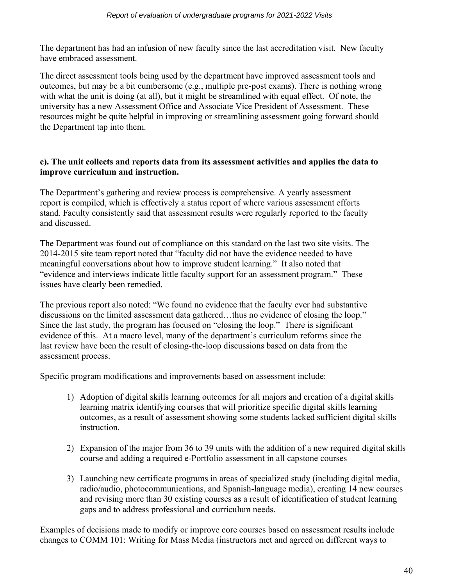The department has had an infusion of new faculty since the last accreditation visit. New faculty have embraced assessment.

The direct assessment tools being used by the department have improved assessment tools and outcomes, but may be a bit cumbersome (e.g., multiple pre-post exams). There is nothing wrong with what the unit is doing (at all), but it might be streamlined with equal effect. Of note, the university has a new Assessment Office and Associate Vice President of Assessment. These resources might be quite helpful in improving or streamlining assessment going forward should the Department tap into them.

#### **c). The unit collects and reports data from its assessment activities and applies the data to improve curriculum and instruction.**

The Department's gathering and review process is comprehensive. A yearly assessment report is compiled, which is effectively a status report of where various assessment efforts stand. Faculty consistently said that assessment results were regularly reported to the faculty and discussed.

The Department was found out of compliance on this standard on the last two site visits. The 2014-2015 site team report noted that "faculty did not have the evidence needed to have meaningful conversations about how to improve student learning." It also noted that "evidence and interviews indicate little faculty support for an assessment program." These issues have clearly been remedied.

The previous report also noted: "We found no evidence that the faculty ever had substantive discussions on the limited assessment data gathered…thus no evidence of closing the loop." Since the last study, the program has focused on "closing the loop." There is significant evidence of this. At a macro level, many of the department's curriculum reforms since the last review have been the result of closing-the-loop discussions based on data from the assessment process.

Specific program modifications and improvements based on assessment include:

- 1) Adoption of digital skills learning outcomes for all majors and creation of a digital skills learning matrix identifying courses that will prioritize specific digital skills learning outcomes, as a result of assessment showing some students lacked sufficient digital skills instruction.
- 2) Expansion of the major from 36 to 39 units with the addition of a new required digital skills course and adding a required e-Portfolio assessment in all capstone courses
- 3) Launching new certificate programs in areas of specialized study (including digital media, radio/audio, photocommunications, and Spanish-language media), creating 14 new courses and revising more than 30 existing courses as a result of identification of student learning gaps and to address professional and curriculum needs.

Examples of decisions made to modify or improve core courses based on assessment results include changes to COMM 101: Writing for Mass Media (instructors met and agreed on different ways to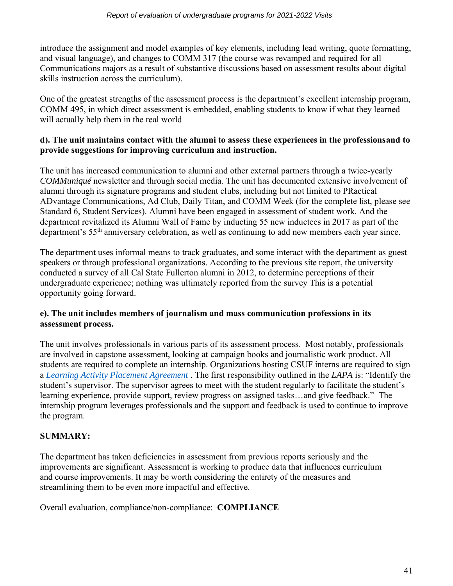introduce the assignment and model examples of key elements, including lead writing, quote formatting, and visual language), and changes to COMM 317 (the course was revamped and required for all Communications majors as a result of substantive discussions based on assessment results about digital skills instruction across the curriculum).

One of the greatest strengths of the assessment process is the department's excellent internship program, COMM 495, in which direct assessment is embedded, enabling students to know if what they learned will actually help them in the real world

### **d). The unit maintains contact with the alumni to assess these experiences in the professionsand to provide suggestions for improving curriculum and instruction.**

The unit has increased communication to alumni and other external partners through a twice-yearly *COMMuniqué* newsletter and through social media. The unit has documented extensive involvement of alumni through its signature programs and student clubs, including but not limited to PRactical ADvantage Communications, Ad Club, Daily Titan, and COMM Week (for the complete list, please see Standard 6, Student Services). Alumni have been engaged in assessment of student work. And the department revitalized its Alumni Wall of Fame by inducting 55 new inductees in 2017 as part of the department's 55th anniversary celebration, as well as continuing to add new members each year since.

The department uses informal means to track graduates, and some interact with the department as guest speakers or through professional organizations. According to the previous site report, the university conducted a survey of all Cal State Fullerton alumni in 2012, to determine perceptions of their undergraduate experience; nothing was ultimately reported from the survey This is a potential opportunity going forward.

# **e). The unit includes members of journalism and mass communication professions in its assessment process.**

The unit involves professionals in various parts of its assessment process. Most notably, professionals are involved in capstone assessment, looking at campaign books and journalistic work product. All students are required to complete an internship. Organizations hosting CSUF interns are required to sign a *[Learning Activity Placement Agreement](https://www.dropbox.com/s/j1m57w3df59ltvm/Learning_Agreement_SAMPLE.pdf?dl=0)* . The first responsibility outlined in the *LAPA* is: "Identify the student's supervisor. The supervisor agrees to meet with the student regularly to facilitate the student's learning experience, provide support, review progress on assigned tasks…and give feedback." The internship program leverages professionals and the support and feedback is used to continue to improve the program.

# **SUMMARY:**

The department has taken deficiencies in assessment from previous reports seriously and the improvements are significant. Assessment is working to produce data that influences curriculum and course improvements. It may be worth considering the entirety of the measures and streamlining them to be even more impactful and effective.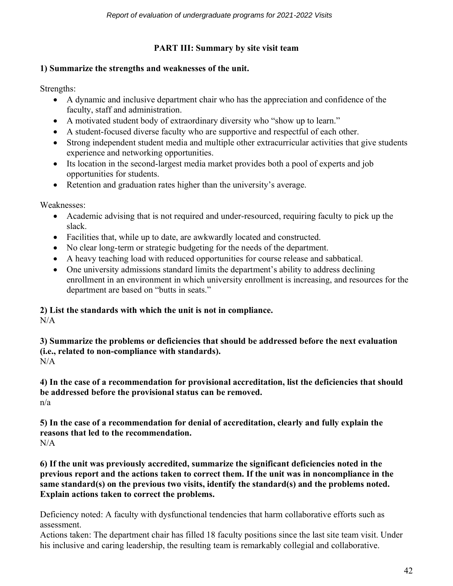# **PART III: Summary by site visit team**

#### **1) Summarize the strengths and weaknesses of the unit.**

Strengths:

- A dynamic and inclusive department chair who has the appreciation and confidence of the faculty, staff and administration.
- A motivated student body of extraordinary diversity who "show up to learn."
- A student-focused diverse faculty who are supportive and respectful of each other.
- Strong independent student media and multiple other extracurricular activities that give students experience and networking opportunities.
- Its location in the second-largest media market provides both a pool of experts and job opportunities for students.
- Retention and graduation rates higher than the university's average.

Weaknesses:

- Academic advising that is not required and under-resourced, requiring faculty to pick up the slack.
- Facilities that, while up to date, are awkwardly located and constructed.
- No clear long-term or strategic budgeting for the needs of the department.
- A heavy teaching load with reduced opportunities for course release and sabbatical.
- One university admissions standard limits the department's ability to address declining enrollment in an environment in which university enrollment is increasing, and resources for the department are based on "butts in seats."

# **2) List the standards with which the unit is not in compliance.**

 $N/A$ 

**3) Summarize the problems or deficiencies that should be addressed before the next evaluation (i.e., related to non-compliance with standards).**   $N/A$ 

**4) In the case of a recommendation for provisional accreditation, list the deficiencies that should be addressed before the provisional status can be removed.** n/a

**5) In the case of a recommendation for denial of accreditation, clearly and fully explain the reasons that led to the recommendation.**  $N/A$ 

**6) If the unit was previously accredited, summarize the significant deficiencies noted in the previous report and the actions taken to correct them. If the unit was in noncompliance in the same standard(s) on the previous two visits, identify the standard(s) and the problems noted. Explain actions taken to correct the problems.** 

Deficiency noted: A faculty with dysfunctional tendencies that harm collaborative efforts such as assessment.

Actions taken: The department chair has filled 18 faculty positions since the last site team visit. Under his inclusive and caring leadership, the resulting team is remarkably collegial and collaborative.